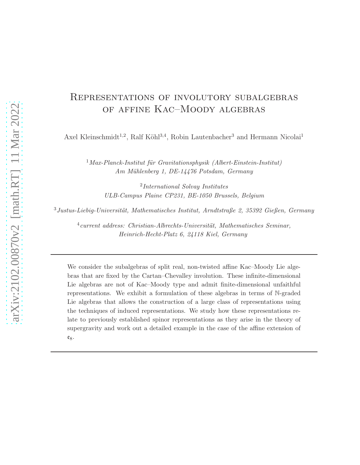# Representations of involutory subalgebras of affine Kac–Moody algebras

Axel Kleinschmidt<sup>1,2</sup>, Ralf Köhl<sup>3,4</sup>, Robin Lautenbacher<sup>3</sup> and Hermann Nicolai<sup>1</sup>

 $1$ Max-Planck-Institut für Gravitationsphysik (Albert-Einstein-Institut) Am Mühlenberg 1, DE-14476 Potsdam, Germany

2 International Solvay Institutes ULB-Campus Plaine CP231, BE-1050 Brussels, Belgium

 $3$ Justus-Liebig-Universität, Mathematisches Institut, Arndtstraße 2, 35392 Gießen, Germany

 $^{4}$ current address: Christian-Albrechts-Universität, Mathematisches Seminar, Heinrich-Hecht-Platz 6, 24118 Kiel, Germany

We consider the subalgebras of split real, non-twisted affine Kac–Moody Lie algebras that are fixed by the Cartan–Chevalley involution. These infinite-dimensional Lie algebras are not of Kac–Moody type and admit finite-dimensional unfaithful representations. We exhibit a formulation of these algebras in terms of N-graded Lie algebras that allows the construction of a large class of representations using the techniques of induced representations. We study how these representations relate to previously established spinor representations as they arise in the theory of supergravity and work out a detailed example in the case of the affine extension of  $e_8$ .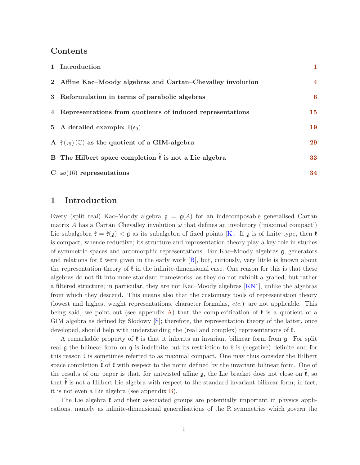## Contents

| 1 Introduction                                                           | $\mathbf 1$      |
|--------------------------------------------------------------------------|------------------|
| 2 Affine Kac–Moody algebras and Cartan–Chevalley involution              | $\overline{4}$   |
| 3 Reformulation in terms of parabolic algebras                           | $\boldsymbol{6}$ |
| 4 Representations from quotients of induced representations              | 15               |
| 5 A detailed example: $\ell(\mathfrak{e}_9)$                             | 19               |
| A $\mathfrak{k}(e_9)$ (C) as the quotient of a GIM-algebra               | 29               |
| B The Hilbert space completion $\hat{\mathfrak{k}}$ is not a Lie algebra | 33               |
| C $\mathfrak{so}(16)$ representations                                    | 34               |

## <span id="page-1-0"></span>1 Introduction

Every (split real) Kac–Moody algebra  $g = g(A)$  for an indecomposable generalised Cartan matrix A has a Cartan–Chevalley involution  $\omega$  that defines an involutory ('maximal compact') Lie subalgebra  $\mathfrak{k} = \mathfrak{k}(\mathfrak{g}) < \mathfrak{g}$  as its subalgebra of fixed points [\[K\]](#page-35-0). If  $\mathfrak{g}$  is of finite type, then  $\mathfrak{k}$ is compact, whence reductive; its structure and representation theory play a key role in studies of symmetric spaces and automorphic representations. For Kac–Moody algebras g, generators and relations for  $\mathfrak k$  were given in the early work  $|B|$ , but, curiously, very little is known about the representation theory of  $\mathfrak k$  in the infinite-dimensional case. One reason for this is that these algebras do not fit into more standard frameworks, as they do not exhibit a graded, but rather a filtered structure; in particular, they are not Kac–Moody algebras [\[KN1\]](#page-36-0), unlike the algebras from which they descend. This means also that the customary tools of representation theory (lowest and highest weight representations, character formulas, etc.) are not applicable. This being said, we point out (see appendix [A\)](#page-29-0) that the complexification of  $\mathfrak k$  is a quotient of a GIM algebra as defined by Slodowy [\[S\]](#page-36-1); therefore, the representation theory of the latter, once developed, should help with understanding the (real and complex) representations of  $\mathfrak{k}$ .

A remarkable property of  $\mathfrak k$  is that it inherits an invariant bilinear form from  $\mathfrak g$ . For split real g the bilinear form on g is indefinite but its restriction to  $\mathfrak k$  is (negative) definite and for this reason  $\mathfrak k$  is sometimes referred to as maximal compact. One may thus consider the Hilbert space completion  $\hat{\mathfrak{k}}$  of  $\mathfrak{k}$  with respect to the norm defined by the invariant bilinear form. One of the results of our paper is that, for untwisted affine  $\mathfrak{g}$ , the Lie bracket does not close on  $\mathfrak{k}$ , so that  $\ell$  is not a Hilbert Lie algebra with respect to the standard invariant bilinear form; in fact, it is not even a Lie algebra (see appendix [B\)](#page-33-0).

The Lie algebra  $\mathfrak k$  and their associated groups are potentially important in physics applications, namely as infinite-dimensional generalisations of the R symmetries which govern the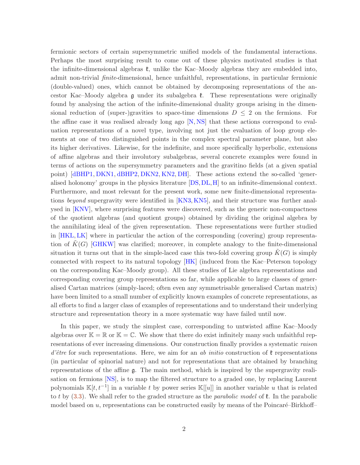fermionic sectors of certain supersymmetric unified models of the fundamental interactions. Perhaps the most surprising result to come out of these physics motivated studies is that the infinite-dimensional algebras  $\ell$ , unlike the Kac–Moody algebras they are embedded into, admit non-trivial finite-dimensional, hence unfaithful, representations, in particular fermionic (double-valued) ones, which cannot be obtained by decomposing representations of the ancestor Kac–Moody algebra  $\mathfrak g$  under its subalgebra  $\mathfrak k$ . These representations were originally found by analysing the action of the infinite-dimensional duality groups arising in the dimensional reduction of (super-)gravities to space-time dimensions  $D \leq 2$  on the fermions. For the affine case it was realised already long ago [\[N,](#page-36-2) [NS\]](#page-36-3) that these actions correspond to evaluation representations of a novel type, involving not just the evaluation of loop group elements at one of two distinguished points in the complex spectral parameter plane, but also its higher derivatives. Likewise, for the indefinite, and more specifically hyperbolic, extensions of affine algebras and their involutory subalgebras, several concrete examples were found in terms of actions on the supersymmetry parameters and the gravitino fields (at a given spatial point) [\[dBHP1,](#page-35-2) [DKN1,](#page-35-3) [dBHP2,](#page-35-4) [DKN2,](#page-35-5) [KN2,](#page-36-4) [DH\]](#page-35-6). These actions extend the so-called 'generalised holonomy' groups in the physics literature [\[DS,](#page-35-7)[DL,](#page-35-8)[H\]](#page-35-9) to an infinite-dimensional context. Furthermore, and most relevant for the present work, some new finite-dimensional representa-tions beyond supergravity were identified in [\[KN3,](#page-36-5) [KN5\]](#page-36-6), and their structure was further analysed in [\[KNV\]](#page-36-7), where surprising features were discovered, such as the generic non-compactness of the quotient algebras (and quotient groups) obtained by dividing the original algebra by the annihilating ideal of the given representation. These representations were further studied in [\[HKL,](#page-35-10)[LK\]](#page-36-8) where in particular the action of the corresponding (covering) group representation of  $K(G)$  [\[GHKW\]](#page-35-11) was clarified; moreover, in complete analogy to the finite-dimensional situation it turns out that in the simple-laced case this two-fold covering group  $\tilde{K}(G)$  is simply connected with respect to its natural topology [\[HK\]](#page-35-12) (induced from the Kac–Peterson topology on the corresponding Kac–Moody group). All these studies of Lie algebra representations and corresponding covering group representations so far, while applicable to large classes of generalised Cartan matrices (simply-laced; often even any symmetrisable generalised Cartan matrix) have been limited to a small number of explicitly known examples of concrete representations, as all efforts to find a larger class of examples of representations and to understand their underlying structure and representation theory in a more systematic way have failed until now.

In this paper, we study the simplest case, corresponding to untwisted affine Kac–Moody algebras over  $\mathbb{K} = \mathbb{R}$  or  $\mathbb{K} = \mathbb{C}$ . We show that there do exist infinitely many such unfaithful representations of ever increasing dimensions. Our construction finally provides a systematic raison d'être for such representations. Here, we aim for an ab initio construction of  $\mathfrak k$  representations (in particular of spinorial nature) and not for representations that are obtained by branching representations of the affine g. The main method, which is inspired by the supergravity realisation on fermions [\[NS\]](#page-36-3), is to map the filtered structure to a graded one, by replacing Laurent polynomials  $\mathbb{K}[t, t^{-1}]$  in a variable t by power series  $\mathbb{K}[[u]]$  in another variable u that is related to t by  $(3.3)$ . We shall refer to the graded structure as the *parabolic model* of  $\ell$ . In the parabolic model based on  $u$ , representations can be constructed easily by means of the Poincaré–Birkhoff–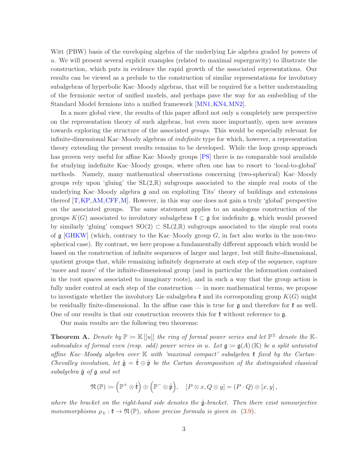Witt (PBW) basis of the enveloping algebra of the underlying Lie algebra graded by powers of u. We will present several explicit examples (related to maximal supergravity) to illustrate the construction, which puts in evidence the rapid growth of the associated representations. Our results can be viewed as a prelude to the construction of similar representations for involutory subalgebras of hyperbolic Kac–Moody algebras, that will be required for a better understanding of the fermionic sector of unified models, and perhaps pave the way for an embedding of the Standard Model fermions into a unified framework [\[MN1,](#page-36-9)[KN4,](#page-36-10)[MN2\]](#page-36-11).

In a more global view, the results of this paper afford not only a completely new perspective on the representation theory of such algebras, but even more importantly, open new avenues towards exploring the structure of the associated groups. This would be especially relevant for infinite-dimensional Kac–Moody algebras of indefinite type for which, however, a representation theory extending the present results remains to be developed. While the loop group approach has proven very useful for affine Kac–Moody groups [\[PS\]](#page-36-12) there is no comparable tool available for studying indefinite Kac–Moody groups, where often one has to resort to 'local-to-global' methods. Namely, many mathematical observations concerning (two-spherical) Kac–Moody groups rely upon 'gluing' the  $SL(2,\mathbb{R})$  subgroups associated to the simple real roots of the underlying Kac–Moody algebra g and on exploiting Tits' theory of buildings and extensions thereof [\[T,](#page-37-0)[KP,](#page-36-13)[AM,](#page-34-1)[CFF,](#page-35-13)[M\]](#page-36-14). However, in this way one does not gain a truly 'global' perspective on the associated groups. The same statement applies to an analogous construction of the groups  $K(G)$  associated to involutory subalgebras  $\mathfrak{k} \subset \mathfrak{g}$  for indefinite g, which would proceed by similarly 'gluing' compact  $SO(2) \subset SL(2,\mathbb{R})$  subgroups associated to the simple real roots of  $\mathfrak g$  [\[GHKW\]](#page-35-11) (which, contrary to the Kac–Moody group G, in fact also works in the non-twospherical case). By contrast, we here propose a fundamentally different approach which would be based on the construction of infinite sequences of larger and larger, but still finite-dimensional, quotient groups that, while remaining infinitely degenerate at each step of the sequence, capture 'more and more' of the infinite-dimensional group (and in particular the information contained in the root spaces associated to imaginary roots), and in such a way that the group action is fully under control at each step of the construction — in more mathematical terms, we propose to investigate whether the involutory Lie subalgebra  $\mathfrak{k}$  and its corresponding group  $K(G)$  might be residually finite-dimensional. In the affine case this is true for  $\mathfrak g$  and therefore for  $\mathfrak k$  as well. One of our results is that our construction recovers this for  $\mathfrak k$  without reference to  $\mathfrak g$ .

Our main results are the following two theorems:

<span id="page-3-0"></span>**Theorem A.** Denote by  $\mathbb{P} \coloneqq \mathbb{K}[[u]]$  the ring of formal power series and let  $\mathbb{P}^{\pm}$  denote the  $\mathbb{K}$ submodules of formal even (resp. odd) power series in u. Let  $\mathfrak{g} := \mathfrak{g}(A)(\mathbb{K})$  be a split untwisted affine Kac–Moody algebra over  $\mathbb K$  with 'maximal compact' subalgebra  $\mathfrak k$  fixed by the Cartan– Chevalley involution, let  $\mathring{\mathfrak{g}} = \mathring{\mathfrak{k}} \oplus \mathring{\mathfrak{p}}$  be the Cartan decomposition of the distinguished classical subalgebra  $\mathring{g}$  of  $\mathfrak g$  and set

$$
\mathfrak{N}(\mathbb{P}) \coloneqq \left( \mathbb{P}^+ \otimes \mathring{\mathfrak{k}} \right) \oplus \left( \mathbb{P}^- \otimes \mathring{\mathfrak{p}} \right), \quad [P \otimes x, Q \otimes y] = (P \cdot Q) \otimes [x, y],
$$

where the bracket on the right-hand side denotes the  $\mathring{g}$ -bracket. Then there exist nonsurjective monomorphisms  $\rho_{\pm} : \mathfrak{k} \to \mathfrak{N}(\mathbb{P})$ , whose precise formula is given in [\(3.9\)](#page-8-0).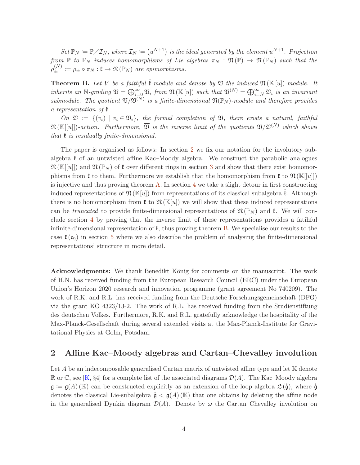Set  $\mathbb{P}_N \coloneqq \mathbb{P} / \mathcal{I}_N$ , where  $\mathcal{I}_N \coloneqq (u^{N+1})$  is the ideal generated by the element  $u^{N+1}$ . Projection from  $\mathbb P$  to  $\mathbb P_N$  induces homomorphisms of Lie algebras  $\pi_N : \mathfrak{N}(\mathbb P) \to \mathfrak{N}(\mathbb P_N)$  such that the  $\rho_{\pm}^{(N)} := \rho_{\pm} \circ \pi_N : \mathfrak{k} \to \mathfrak{N}(\mathbb{P}_N)$  are epimorphisms.

**Theorem B.** Let V be a faithful  $\mathring{\mathbf{E}}$ -module and denote by  $\mathfrak V$  the induced  $\mathfrak N(\mathbb{K}[u])$ -module. It inherits an N-grading  $\mathfrak{V} = \bigoplus_{i=0}^{\infty} \mathfrak{V}_i$  from  $\mathfrak{N}(\mathbb{K}[u])$  such that  $\mathfrak{V}^{(N)} = \bigoplus_{i=N}^{\infty} \mathfrak{V}_i$  is an invariant submodule. The quotient  $\mathfrak{V}/\mathfrak{V}^{(N)}$  is a finite-dimensional  $\mathfrak{N}(\mathbb{P}_N)$ -module and therefore provides a representation of  $\mathfrak k$ .

On  $\overline{\mathfrak{V}} := \{ (v_i) \mid v_i \in \mathfrak{V}_i \}$ , the formal completion of  $\mathfrak{V}$ , there exists a natural, faithful  $\mathfrak{N}(\mathbb{K}[[u]])$ -action. Furthermore,  $\overline{\mathfrak{V}}$  is the inverse limit of the quotients  $\mathfrak{V}/\mathfrak{V}^{(N)}$  which shows that  $\mathfrak k$  is residually finite-dimensional.

The paper is organised as follows: In section [2](#page-4-0) we fix our notation for the involutory subalgebra  $\ell$  of an untwisted affine Kac–Moody algebra. We construct the parabolic analogues  $\mathfrak{N}(\mathbb{K}[u])$  and  $\mathfrak{N}(\mathbb{P}_N)$  of  $\mathfrak{k}$  over different rings in section [3](#page-6-0) and show that there exist homomorphisms from  $\mathfrak{k}$  to them. Furthermore we establish that the homomorphism from  $\mathfrak{k}$  to  $\mathfrak{N}(\mathbb{K}[[u]])$ is injective and thus proving theorem  $\bf{A}$ . In section [4](#page-15-0) we take a slight detour in first constructing induced representations of  $\mathfrak{N}(\mathbb{K}[u])$  from representations of its classical subalgebra  $\mathfrak{k}$ . Although there is no homomorphism from  $\mathfrak{k}$  to  $\mathfrak{N}(\mathbb{K}[u])$  we will show that these induced representations can be truncated to provide finite-dimensional representations of  $\mathfrak{N}(\mathbb{P}_N)$  and  $\mathfrak{k}$ . We will conclude section [4](#page-15-0) by proving that the inverse limit of these representations provides a fatihful infinite-dimensional representation of  $\mathfrak{k}$ , thus proving theorem [B.](#page-7-1) We specialise our results to the case  $\mathfrak{k}(e_9)$  in section [5](#page-19-0) where we also describe the problem of analysing the finite-dimensional representations' structure in more detail.

Acknowledgments: We thank Benedikt König for comments on the manuscript. The work of H.N. has received funding from the European Research Council (ERC) under the European Union's Horizon 2020 research and innovation programme (grant agreement No 740209). The work of R.K. and R.L. has received funding from the Deutsche Forschungsgemeinschaft (DFG) via the grant KO 4323/13-2. The work of R.L. has received funding from the Studienstiftung des deutschen Volkes. Furthermore, R.K. and R.L. gratefully acknowledge the hospitality of the Max-Planck-Gesellschaft during several extended visits at the Max-Planck-Institute for Gravitational Physics at Golm, Potsdam.

## <span id="page-4-0"></span>2 Affine Kac–Moody algebras and Cartan–Chevalley involution

Let A be an indecomposable generalised Cartan matrix of untwisted affine type and let  $\mathbb K$  denote R or C, see [\[K,](#page-35-0) §4] for a complete list of the associated diagrams  $\mathcal{D}(A)$ . The Kac–Moody algebra  $\mathfrak{g} := \mathfrak{g}(A)$  (K) can be constructed explicitly as an extension of the loop algebra  $\mathfrak{L}(\mathfrak{g})$ , where  $\mathfrak{\mathfrak{g}}$ denotes the classical Lie-subalgebra  $\mathring{\mathfrak{g}} < \mathfrak{g}(A)$  (K) that one obtains by deleting the affine node in the generalised Dynkin diagram  $\mathcal{D}(A)$ . Denote by  $\omega$  the Cartan–Chevalley involution on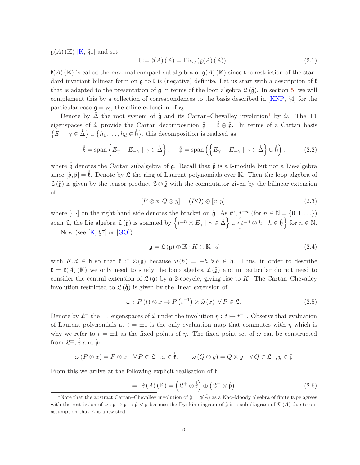$g(A)$  (K) [\[K,](#page-35-0) §1] and set

$$
\mathfrak{k} := \mathfrak{k}(A) \left( \mathbb{K} \right) = \text{Fix}_{\omega} \left( \mathfrak{g}(A) \left( \mathbb{K} \right) \right). \tag{2.1}
$$

 $\mathfrak{k}(A)$  (K) is called the maximal compact subalgebra of  $\mathfrak{g}(A)$  (K) since the restriction of the standard invariant bilinear form on  $\mathfrak g$  to  $\mathfrak k$  is (negative) definite. Let us start with a description of  $\mathfrak k$ that is adapted to the presentation of  $\mathfrak g$  in terms of the loop algebra  $\mathfrak L(\mathring{\mathfrak g})$ . In section [5,](#page-19-0) we will complement this by a collection of correspondences to the basis described in [\[KNP,](#page-36-15) §4] for the particular case  $\mathfrak{g} = \mathfrak{e}_9$ , the affine extension of  $\mathfrak{e}_8$ .

Denote by  $\Delta$  the root system of  $\mathring{\mathfrak{g}}$  and its Cartan–Chevalley involution<sup>[1](#page-5-0)</sup> by  $\mathring{\omega}$ . The  $\pm 1$ eigenspaces of  $\mathring{\omega}$  provide the Cartan decomposition  $\mathring{\mathfrak{g}} = \mathfrak{k} \oplus \mathring{\mathfrak{p}}$ . In terms of a Cartan basis  $\{E_\gamma \mid \gamma \in \mathring{\Delta}\}\cup \{h_1,\ldots,h_d \in \mathring{\mathfrak{h}}\},\$  this decomposition is realised as

$$
\mathring{\mathfrak{k}} = \text{span}\left\{ E_{\gamma} - E_{-\gamma} \mid \gamma \in \mathring{\Delta} \right\}, \quad \mathring{\mathfrak{p}} = \text{span}\left( \left\{ E_{\gamma} + E_{-\gamma} \mid \gamma \in \mathring{\Delta} \right\} \cup \mathring{\mathfrak{h}} \right), \tag{2.2}
$$

where  $\mathring{\mathfrak{h}}$  denotes the Cartan subalgebra of  $\mathring{\mathfrak{g}}$ . Recall that  $\mathring{\mathfrak{p}}$  is a  $\mathring{\mathfrak{k}}$ -module but not a Lie-algebra since  $[\mathring{\mathfrak{p}}, \mathring{\mathfrak{p}}] = \mathring{\mathfrak{k}}$ . Denote by  $\mathfrak{L}$  the ring of Laurent polynomials over K. Then the loop algebra of  $\mathfrak{L}(\mathring{g})$  is given by the tensor product  $\mathfrak{L} \otimes \mathring{g}$  with the commutator given by the bilinear extension of

$$
[P \otimes x, Q \otimes y] = (PQ) \otimes [x, y], \qquad (2.3)
$$

where [ $\cdot$ ,  $\cdot$ ] on the right-hand side denotes the bracket on  $\mathring{\mathfrak{g}}$ . As  $t^n$ ,  $t^{-n}$  (for  $n \in \mathbb{N} = \{0, 1, \ldots\}$ ) span  $\mathfrak{L}$ , the Lie algebra  $\mathfrak{L}(\mathfrak{g})$  is spanned by  $\left\{ t^{\pm n} \otimes E_\gamma \mid \gamma \in \mathring{\Delta} \right\} \cup \left\{ t^{\pm n} \otimes h \mid h \in \mathring{\mathfrak{h}} \right\}$  for  $n \in \mathbb{N}$ . Now (see  $[K, \S7]$  or  $[GO]$ )

<span id="page-5-2"></span>
$$
\mathfrak{g} = \mathfrak{L}\left(\overset{\circ}{\mathfrak{g}}\right) \oplus \mathbb{K} \cdot K \oplus \mathbb{K} \cdot d \tag{2.4}
$$

with  $K, d \in \mathfrak{h}$  so that  $\mathfrak{k} \subset \mathfrak{L}(\mathfrak{g})$  because  $\omega(h) = -h \,\forall h \in \mathfrak{h}$ . Thus, in order to describe  $\mathfrak{k} = \mathfrak{k}(A)$  (K) we only need to study the loop algebra  $\mathfrak{L}(\mathring{g})$  and in particular do not need to consider the central extension of  $\mathfrak{L}(\mathring{\mathfrak{g}})$  by a 2-cocycle, giving rise to K. The Cartan–Chevalley involution restricted to  $\mathfrak{L}(\hat{\mathfrak{g}})$  is given by the linear extension of

$$
\omega: P(t) \otimes x \mapsto P(t^{-1}) \otimes \mathring{\omega}(x) \forall P \in \mathfrak{L}.\tag{2.5}
$$

Denote by  $\mathfrak{L}^{\pm}$  the  $\pm 1$  eigenspaces of  $\mathfrak{L}$  under the involution  $\eta: t \mapsto t^{-1}$ . Observe that evaluation of Laurent polynomials at  $t = \pm 1$  is the only evaluation map that commutes with  $\eta$  which is why we refer to  $t = \pm 1$  as the fixed points of  $\eta$ . The fixed point set of  $\omega$  can be constructed from  $\mathfrak{L}^{\pm}$ ,  $\mathring{\mathfrak{k}}$  and  $\mathring{\mathfrak{p}}$ :

$$
\omega(P \otimes x) = P \otimes x \quad \forall P \in \mathfrak{L}^+, x \in \mathring{\mathfrak{k}}, \qquad \omega(Q \otimes y) = Q \otimes y \quad \forall Q \in \mathfrak{L}^-, y \in \mathring{\mathfrak{p}}
$$

From this we arrive at the following explicit realisation of  $\mathfrak k$ :

<span id="page-5-1"></span>
$$
\Rightarrow \mathfrak{k}(A) (\mathbb{K}) = (\mathfrak{L}^+ \otimes \mathfrak{k}) \oplus (\mathfrak{L}^- \otimes \mathfrak{p}). \tag{2.6}
$$

<span id="page-5-0"></span><sup>&</sup>lt;sup>1</sup>Note that the abstract Cartan–Chevalley involution of  $\mathring{\mathfrak{g}} = \mathfrak{g}(\mathring{A})$  as a Kac–Moody algebra of finite type agrees with the restriction of  $\omega : \mathfrak{g} \to \mathfrak{g}$  to  $\mathfrak{g} \lt \mathfrak{g}$  because the Dynkin diagram of  $\mathfrak{g}$  is a sub-diagram of  $\mathcal{D}(A)$  due to our assumption that A is untwisted.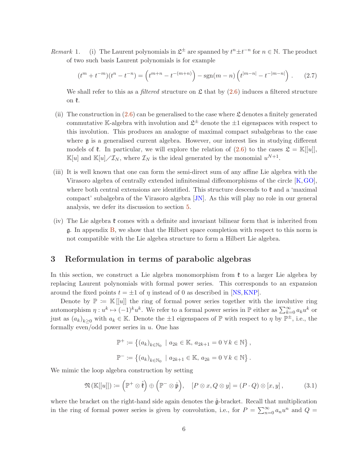Remark 1. (i) The Laurent polynomials in  $\mathfrak{L}^{\pm}$  are spanned by  $t^{n} \pm t^{-n}$  for  $n \in \mathbb{N}$ . The product of two such basis Laurent polynomials is for example

$$
(tm + t-m)(tn - t-n) = (tm+n - t-(m+n)) - sgn(m-n) (t|m-n| - t-|m-n|) . (2.7)
$$

We shall refer to this as a *filtered* structure on  $\mathfrak L$  that by  $(2.6)$  induces a filtered structure on k.

- (ii) The construction in  $(2.6)$  can be generalised to the case where  $\mathfrak L$  denotes a finitely generated commutative K-algebra with involution and  $\mathfrak{L}^{\pm}$  denote the  $\pm 1$  eigenspaces with respect to this involution. This produces an analogue of maximal compact subalgebras to the case where g is a generalised current algebra. However, our interest lies in studying different models of  $\mathfrak k$ . In particular, we will explore the relation of  $(2.6)$  to the cases  $\mathfrak L = \mathbb K[[u]],$  $\mathbb{K}[u]$  and  $\mathbb{K}[u]/\mathcal{I}_N$ , where  $\mathcal{I}_N$  is the ideal generated by the monomial  $u^{N+1}$ .
- (iii) It is well known that one can form the semi-direct sum of any affine Lie algebra with the Virasoro algebra of centrally extended infinitesimal diffeomorphisms of the circle [\[K,](#page-35-0)[GO\]](#page-35-14), where both central extensions are identified. This structure descends to  $\mathfrak k$  and a 'maximal compact' subalgebra of the Virasoro algebra [\[JN\]](#page-35-15). As this will play no role in our general analysis, we defer its discussion to section [5.](#page-19-0)
- (iv) The Lie algebra  $\mathfrak k$  comes with a definite and invariant bilinear form that is inherited from g. In appendix [B,](#page-33-0) we show that the Hilbert space completion with respect to this norm is not compatible with the Lie algebra structure to form a Hilbert Lie algebra.

# <span id="page-6-0"></span>3 Reformulation in terms of parabolic algebras

In this section, we construct a Lie algebra monomorphism from  $\mathfrak k$  to a larger Lie algebra by replacing Laurent polynomials with formal power series. This corresponds to an expansion around the fixed points  $t = \pm 1$  of  $\eta$  instead of 0 as described in [\[NS,](#page-36-3) [KNP\]](#page-36-15).

Denote by  $\mathbb{P} := \mathbb{K}[[u]]$  the ring of formal power series together with the involutive ring automorphism  $\eta: u^k \mapsto (-1)^k u^k$ . We refer to a formal power series in  $\mathbb P$  either as  $\sum_{k=0}^{\infty} a_k u^k$  or just as  $(a_k)_{k\geq 0}$  with  $a_k \in \mathbb{K}$ . Denote the  $\pm 1$  eigenspaces of  $\mathbb{P}$  with respect to  $\eta$  by  $\mathbb{P}^{\pm}$ , i.e., the formally even/odd power series in  $u$ . One has

$$
\mathbb{P}^+ := \left\{ (a_k)_{k \in \mathbb{N}_0} \mid a_{2k} \in \mathbb{K}, a_{2k+1} = 0 \,\forall k \in \mathbb{N} \right\},\
$$
  

$$
\mathbb{P}^- := \left\{ (a_k)_{k \in \mathbb{N}_0} \mid a_{2k+1} \in \mathbb{K}, a_{2k} = 0 \,\forall k \in \mathbb{N} \right\}.
$$

We mimic the loop algebra construction by setting

<span id="page-6-1"></span>
$$
\mathfrak{N}\left(\mathbb{K}[[u]]\right) := \left(\mathbb{P}^+ \otimes \mathring{\mathfrak{k}}\right) \oplus \left(\mathbb{P}^- \otimes \mathring{\mathfrak{p}}\right), \quad [P \otimes x, Q \otimes y] = (P \cdot Q) \otimes [x, y], \tag{3.1}
$$

where the bracket on the right-hand side again denotes the  $\mathring{q}$ -bracket. Recall that multiplication in the ring of formal power series is given by convolution, i.e., for  $P = \sum_{n=0}^{\infty} a_n u^n$  and  $Q =$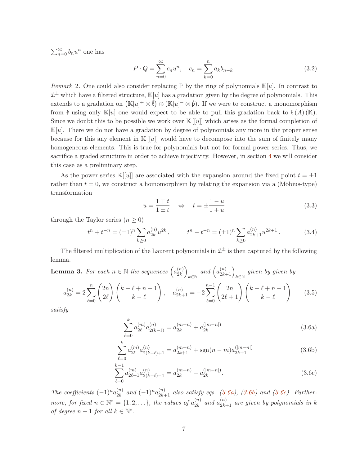$\sum_{n=0}^{\infty} b_n u^n$  one has

<span id="page-7-7"></span>
$$
P \cdot Q = \sum_{n=0}^{\infty} c_n u^n, \quad c_n = \sum_{k=0}^{n} a_k b_{n-k}.
$$
 (3.2)

<span id="page-7-1"></span>Remark 2. One could also consider replacing  $\mathbb P$  by the ring of polynomials  $\mathbb K[u]$ . In contrast to  $\mathfrak{L}^{\pm}$  which have a filtered structure,  $\mathbb{K}[u]$  has a gradation given by the degree of polynomials. This extends to a gradation on  $(\mathbb{K}[u]^+ \otimes \mathring{\mathfrak{k}}) \oplus (\mathbb{K}[u]^-\otimes \mathring{\mathfrak{p}})$ . If we were to construct a monomorphism from  $\mathfrak k$  using only  $\mathbb K[u]$  one would expect to be able to pull this gradation back to  $\mathfrak k(A)$  (K). Since we doubt this to be possible we work over  $\mathbb{K}[[u]]$  which arises as the formal completion of  $\mathbb{K}[u]$ . There we do not have a gradation by degree of polynomials any more in the proper sense because for this any element in  $\mathbb{K}[[u]]$  would have to decompose into the sum of finitely many homogeneous elements. This is true for polynomials but not for formal power series. Thus, we sacrifice a graded structure in order to achieve injectivity. However, in section [4](#page-15-0) we will consider this case as a preliminary step.

As the power series  $\mathbb{K}[[u]]$  are associated with the expansion around the fixed point  $t = \pm 1$ rather than  $t = 0$ , we construct a homomorphism by relating the expansion via a (Möbius-type) transformation

<span id="page-7-9"></span><span id="page-7-0"></span>
$$
u = \frac{1 \pm t}{1 \pm t} \quad \Leftrightarrow \quad t = \pm \frac{1 - u}{1 + u} \tag{3.3}
$$

through the Taylor series  $(n \geq 0)$ 

$$
t^{n} + t^{-n} = (\pm 1)^{n} \sum_{k \ge 0} a_{2k}^{(n)} u^{2k}, \qquad t^{n} - t^{-n} = (\pm 1)^{n} \sum_{k \ge 0} a_{2k+1}^{(n)} u^{2k+1}.
$$
 (3.4)

The filtered multiplication of the Laurent polynomials in  $\mathfrak{L}^{\pm}$  is then captured by the following lemma.

<span id="page-7-8"></span>**Lemma 3.** For each 
$$
n \in \mathbb{N}
$$
 the sequences  $\left(a_{2k}^{(n)}\right)_{k \in \mathbb{N}}$  and  $\left(a_{2k+1}^{(n)}\right)_{k \in \mathbb{N}}$  given by given by  

$$
a_{2k}^{(n)} = 2 \sum_{\ell=0}^{n} {2n \choose 2\ell} {k - \ell + n - 1 \choose k - \ell}, \quad a_{2k+1}^{(n)} = -2 \sum_{\ell=0}^{n-1} {2n \choose 2\ell+1} {k - \ell + n - 1 \choose k - \ell}
$$
(3.5)

<span id="page-7-6"></span><span id="page-7-5"></span>satisfy

<span id="page-7-4"></span><span id="page-7-3"></span><span id="page-7-2"></span>
$$
\sum_{\ell=0}^{k} a_{2\ell}^{(m)} a_{2(k-\ell)}^{(n)} = a_{2k}^{(m+n)} + a_{2k}^{(|m-n|)}
$$
(3.6a)

$$
\sum_{\ell=0}^{k} a_{2\ell}^{(m)} a_{2(k-\ell)+1}^{(n)} = a_{2k+1}^{(m+n)} + \text{sgn}(n-m) a_{2k+1}^{(|m-n|)}
$$
(3.6b)

$$
\sum_{\ell=0}^{k-1} a_{2\ell+1}^{(m)} a_{2(k-\ell)-1}^{(n)} = a_{2k}^{(m+n)} - a_{2k}^{(|m-n|)}.
$$
\n(3.6c)

The coefficients  $(-1)^n a_{2k}^{(n)}$  $\binom{n}{2k}$  and  $(-1)^n a_{2k+1}^{(n)}$  also satisfy eqs. [\(3.6a\)](#page-7-2), [\(3.6b\)](#page-7-3) and [\(3.6c\)](#page-7-4). Furthermore, for fixed  $n \in \mathbb{N}^* = \{1, 2, \ldots\}$ , the values of  $a_{2k}^{(n)}$  $\hat{a}^{(n)}_{2k}$  and  $a^{(n)}_{2k+1}$  are given by polynomials in k of degree  $n-1$  for all  $k \in \mathbb{N}^*$ .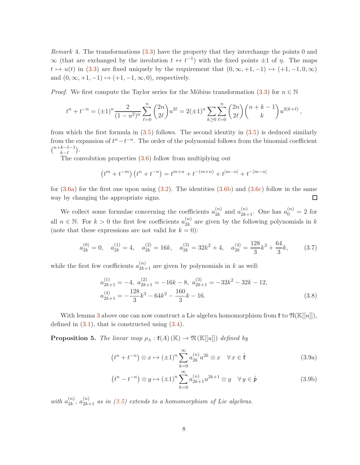Remark 4. The transformations  $(3.3)$  have the property that they interchange the points 0 and  $\infty$  (that are exchanged by the involution  $t \leftrightarrow t^{-1}$ ) with the fixed points  $\pm 1$  of  $\eta$ . The maps  $t \mapsto u(t)$  in [\(3.3\)](#page-7-0) are fixed uniquely by the requirement that  $(0, \infty, +1, -1) \mapsto (+1, -1, 0, \infty)$ and  $(0, \infty, +1, -1) \mapsto (+1, -1, \infty, 0)$ , respectively.

*Proof.* We first compute the Taylor series for the Möbius transformation [\(3.3\)](#page-7-0) for  $n \in \mathbb{N}$ 

$$
t^{n} + t^{-n} = (\pm 1)^{n} \frac{2}{(1 - u^{2})^{n}} \sum_{\ell=0}^{n} {2n \choose 2\ell} u^{2\ell} = 2(\pm 1)^{n} \sum_{k \ge 0} \sum_{\ell=0}^{n} {2n \choose 2\ell} {n + k - 1 \choose k} u^{2(k+\ell)},
$$

from which the first formula in  $(3.5)$  follows. The second identity in  $(3.5)$  is deduced similarly from the expansion of  $t^{n}-t^{-n}$ . The order of the polynomial follows from the binomial coefficient  $\binom{n+k-\ell-1}{k}$  $_{k-\ell-1}^{k-\ell-1}$ .

The convolution properties [\(3.6\)](#page-7-6) follow from multiplying out

$$
\left(t^{m}+t^{-m}\right)\left(t^{n}+t^{-n}\right)=t^{m+n}+t^{-(m+n)}+t^{|m-n|}+t^{-|m-n|}
$$

for  $(3.6a)$  for the first one upon using  $(3.2)$ . The identities  $(3.6b)$  and  $(3.6c)$  follow in the same  $\Box$ way by changing the appropriate signs.

We collect some formulae concerning the coefficients  $a_{2k}^{(n)}$  $a_{2k}^{(n)}$  and  $a_{2k+1}^{(n)}$ . One has  $a_0^{(n)} = 2$  for all  $n \in \mathbb{N}$ . For  $k > 0$  the first few coefficients  $a_{2k}^{(n)}$  $\frac{2k}{2k}$  are given by the following polynomials in k (note that these expressions are not valid for  $k = 0$ ):

$$
a_{2k}^{(0)} = 0, \quad a_{2k}^{(1)} = 4, \quad a_{2k}^{(2)} = 16k, \quad a_{2k}^{(3)} = 32k^2 + 4, \quad a_{2k}^{(4)} = \frac{128}{3}k^3 + \frac{64}{3}k,\tag{3.7}
$$

while the first few coefficients  $a_{2k+1}^{(n)}$  are given by polynomials in k as well:

$$
a_{2k+1}^{(1)} = -4, \ a_{2k+1}^{(2)} = -16k - 8, \ a_{2k+1}^{(3)} = -32k^2 - 32k - 12, a_{2k+1}^{(4)} = -\frac{128}{3}k^3 - 64k^2 - \frac{160}{3}k - 16.
$$
 (3.8)

With lemma [3](#page-7-8) above one can now construct a Lie algebra homomorphism from  $\mathfrak{k}$  to  $\mathfrak{N}(\mathbb{K}[[u]])$ , defined in  $(3.1)$ , that is constructed using  $(3.4)$ .

<span id="page-8-2"></span>**Proposition 5.** The linear map  $\rho_{\pm} : \mathfrak{k}(A) (\mathbb{K}) \to \mathfrak{N} (\mathbb{K}[[u]])$  defined by

<span id="page-8-1"></span><span id="page-8-0"></span>
$$
(t^n + t^{-n}) \otimes x \mapsto (\pm 1)^n \sum_{k=0}^{\infty} a_{2k}^{(n)} u^{2k} \otimes x \quad \forall x \in \mathring{\mathfrak{k}} \tag{3.9a}
$$

<span id="page-8-3"></span>
$$
(t^n - t^{-n}) \otimes y \mapsto (\pm 1)^n \sum_{k=0}^{\infty} a_{2k+1}^{(n)} u^{2k+1} \otimes y \quad \forall y \in \overset{\circ}{\mathfrak{p}} \tag{3.9b}
$$

with  $a_{2k}^{(n)}$  $\binom{n}{2k}$ ,  $a_{2k+1}^{(n)}$  as in [\(3.5\)](#page-7-5) extends to a homomorphism of Lie algebras.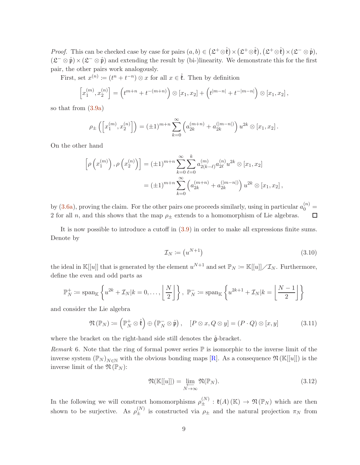*Proof.* This can be checked case by case for pairs  $(a, b) \in (\mathfrak{L}^+ \otimes \mathring{\mathfrak{k}}) \times (\mathfrak{L}^+ \otimes \mathring{\mathfrak{k}}), (\mathfrak{L}^+ \otimes \mathring{\mathfrak{k}}) \times (\mathfrak{L}^- \otimes \mathring{\mathfrak{p}}),$  $(\mathfrak{L}^- \otimes \mathfrak{p}) \times (\mathfrak{L}^- \otimes \mathfrak{p})$  and extending the result by (bi-)linearity. We demonstrate this for the first pair, the other pairs work analogously.

First, set  $x^{(n)} := (t^n + t^{-n}) \otimes x$  for all  $x \in \mathring{\mathfrak{k}}$ . Then by definition

$$
\[x_1^{(m)}, x_2^{(n)}\] = \left(t^{m+n} + t^{-(m+n)}\right) \otimes [x_1, x_2] + \left(t^{|m-n|} + t^{-|m-n|}\right) \otimes [x_1, x_2],
$$

so that from [\(3.9a\)](#page-8-1)

$$
\rho_{\pm}\left(\left[x_1^{(m)}, x_2^{(n)}\right]\right) = (\pm 1)^{m+n} \sum_{k=0}^{\infty} \left(a_{2k}^{(m+n)} + a_{2k}^{(|m-n|)}\right) u^{2k} \otimes [x_1, x_2].
$$

On the other hand

$$
\[\rho\left(x_1^{(m)}\right), \rho\left(x_2^{(n)}\right)\] = (\pm 1)^{m+n} \sum_{k=0}^{\infty} \sum_{\ell=0}^{k} a_{2(k-\ell)}^{(m)} a_{2\ell}^{(n)} u^{2k} \otimes [x_1, x_2]
$$

$$
= (\pm 1)^{m+n} \sum_{k=0}^{\infty} \left(a_{2k}^{(m+n)} + a_{2k}^{(|m-n|)}\right) u^{2k} \otimes [x_1, x_2],
$$

by [\(3.6a\)](#page-7-2), proving the claim. For the other pairs one proceeds similarly, using in particular  $a_0^{(n)} =$ 2 for all n, and this shows that the map  $\rho_{\pm}$  extends to a homomorphism of Lie algebras.  $\Box$ 

It is now possible to introduce a cutoff in [\(3.9\)](#page-8-0) in order to make all expressions finite sums. Denote by

<span id="page-9-1"></span><span id="page-9-0"></span>
$$
\mathcal{I}_N := \left( u^{N+1} \right) \tag{3.10}
$$

the ideal in  $\mathbb{K}[[u]]$  that is generated by the element  $u^{N+1}$  and set  $\mathbb{P}_N := \mathbb{K}[[u]] \diagup \mathcal{I}_N$ . Furthermore, define the even and odd parts as

$$
\mathbb{P}_N^+ := \operatorname{span}_{\mathbb{K}} \left\{ u^{2k} + \mathcal{I}_N | k = 0, \dots, \left\lfloor \frac{N}{2} \right\rfloor \right\}, \ \mathbb{P}_N^- := \operatorname{span}_{\mathbb{K}} \left\{ u^{2k+1} + \mathcal{I}_N | k = \left\lfloor \frac{N-1}{2} \right\rfloor \right\}
$$

and consider the Lie algebra

$$
\mathfrak{N}(\mathbb{P}_N) := \left(\mathbb{P}_N^+ \otimes \mathring{\mathfrak{k}}\right) \oplus \left(\mathbb{P}_N^- \otimes \mathring{\mathfrak{p}}\right), \quad [P \otimes x, Q \otimes y] = (P \cdot Q) \otimes [x, y]
$$
(3.11)

where the bracket on the right-hand side still denotes the  $\mathring{\mathfrak{g}}$ -bracket.

Remark 6. Note that the ring of formal power series  $\mathbb P$  is isomorphic to the inverse limit of the inverse system  $(\mathbb{P}_N)_{N\in\mathbb{N}}$  with the obvious bonding maps [\[R\]](#page-36-16). As a consequence  $\mathfrak{N}(\mathbb{K}[[u]])$  is the inverse limit of the  $\mathfrak{N}(\mathbb{P}_N)$ :

$$
\mathfrak{N}(\mathbb{K}[[u]]) = \varprojlim_{N \to \infty} \mathfrak{N}(\mathbb{P}_N). \tag{3.12}
$$

In the following we will construct homomorphisms  $\rho_{\pm}^{(N)} : \mathfrak{k}(A) (\mathbb{K}) \to \mathfrak{N}(\mathbb{P}_N)$  which are then shown to be surjective. As  $\rho_{\pm}^{(N)}$  is constructed via  $\rho_{\pm}$  and the natural projection  $\pi_N$  from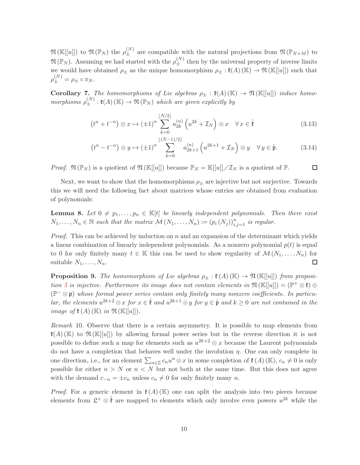$\mathfrak{N}(\mathbb{K}[[u]])$  to  $\mathfrak{N}(\mathbb{P}_N)$  the  $\rho_{\pm}^{(N)}$  are compatible with the natural projections from  $\mathfrak{N}(\mathbb{P}_{N+M})$  to  $\mathfrak{N}(\mathbb{P}_N)$ . Assuming we had started with the  $\rho_{\pm}^{(N)}$  then by the universal property of inverse limits we would have obtained  $\rho_{\pm}$  as the unique homomorphism  $\rho_{\pm} : \mathfrak{k}(A) (\mathbb{K}) \to \mathfrak{N} (\mathbb{K}[[u]])$  such that  $\rho_{\pm}^{(N)} = \rho_{\pm} \circ \pi_N.$ 

<span id="page-10-2"></span>**Corollary 7.** The homomorphisms of Lie algebras  $\rho_{\pm} : \mathfrak{k}(A) (\mathbb{K}) \to \mathfrak{N}(\mathbb{K}[[u]])$  induce homomorphisms  $\rho_{\pm}^{(N)} : \mathfrak{k}(A) (\mathbb{K}) \to \mathfrak{N}(\mathbb{P}_N)$  which are given explicitly by

$$
\left(t^{n} + t^{-n}\right) \otimes x \mapsto \left(\pm 1\right)^{n} \sum_{k=0}^{\lfloor N/2 \rfloor} a_{2k}^{(n)}\left(u^{2k} + \mathcal{I}_{N}\right) \otimes x \quad \forall x \in \mathring{\mathfrak{k}} \tag{3.13}
$$

$$
\left(t^{n}-t^{-n}\right)\otimes y\mapsto\left(\pm1\right)^{n}\sum_{k=0}^{\left\lfloor (N-1)/2\right\rfloor}a_{2k+1}^{(n)}\left(u^{2k+1}+\mathcal{I}_{N}\right)\otimes y\quad\forall\,y\in\overset{\circ}{\mathfrak{p}}.\tag{3.14}
$$

*Proof.*  $\mathfrak{N}(\mathbb{P}_N)$  is a quotient of  $\mathfrak{N}(\mathbb{K}[[u]])$  because  $\mathbb{P}_N = \mathbb{K}[[u]] \diagup \mathcal{I}_N$  is a quotient of  $\mathbb{P}$ .  $\Box$ 

Next, we want to show that the homomorphisms  $\rho_{\pm}$  are injective but not surjective. Towards this we will need the following fact about matrices whose entries are obtained from evaluation of polynomials:

<span id="page-10-0"></span>**Lemma 8.** Let  $0 \neq p_1, \ldots, p_n \in \mathbb{K}[t]$  be linearly independent polynomials. Then there exist  $N_1, \ldots, N_n \in \mathbb{N}$  such that the matrix  $\mathcal{M}(N_1, \ldots, N_n) := (p_i(N_j))_{i,j=1}^n$  is regular.

*Proof.* This can be achieved by induction on  $n$  and an expansion of the determinant which yields a linear combination of linearly independent polynomials. As a nonzero polynomial  $p(t)$  is equal to 0 for only finitely many  $t \in \mathbb{K}$  this can be used to show regularity of  $\mathcal{M}(N_1, \ldots, N_n)$  for suitable  $N_1, \ldots, N_n$ .  $\Box$ 

<span id="page-10-1"></span>**Proposition 9.** The homomorphism of Lie algebras  $\rho_{\pm} : \mathfrak{k}(A) (\mathbb{K}) \to \mathfrak{N}(\mathbb{K}[[u]])$  from proposi-tion [5](#page-8-2) is injective. Furthermore its image does not contain elements in  $\mathfrak{N}(\mathbb{K}[[u]]) = (\mathbb{P}^+ \otimes \mathfrak{k}) \oplus$  $(\mathbb{P}^-\otimes\mathfrak{p})$  whose formal power series contain only finitely many nonzero coefficients. In particular, the elements  $u^{2k+2} \otimes x$  for  $x \in \mathring{\mathfrak{k}}$  and  $u^{2k+1} \otimes y$  for  $y \in \mathring{\mathfrak{p}}$  and  $k \geq 0$  are not contained in the image of  $\mathfrak{k}(A)$  (K) in  $\mathfrak{N}$  (K[[u]]).

Remark 10. Observe that there is a certain asymmetry. It is possible to map elements from  $\mathfrak{X}(A)$  (K) to  $\mathfrak{N}(\mathbb{K}[[u]])$  by allowing formal power series but in the reverse direction it is not possible to define such a map for elements such as  $u^{2k+2} \otimes x$  because the Laurent polynomials do not have a completion that behaves well under the involution  $\eta$ . One can only complete in one direction, i.e., for an element  $\sum_{n\in\mathbb{Z}}c_nu^n\otimes x$  in some completion of  $\mathfrak{k}(A)(\mathbb{K})$ ,  $c_n\neq 0$  is only possible for either  $n > N$  or  $n < N$  but not both at the same time. But this does not agree with the demand  $c_{-n} = \pm c_n$  unless  $c_n \neq 0$  for only finitely many n.

*Proof.* For a generic element in  $\mathfrak{k}(A)$  (K) one can split the analysis into two pieces because elements from  $\mathfrak{L}^+ \otimes \mathfrak{k}$  are mapped to elements which only involve even powers  $u^{2k}$  while the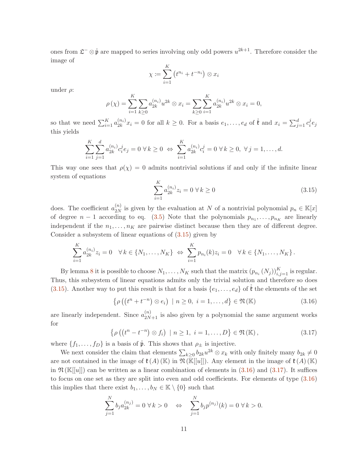ones from  $\mathfrak{L}^- \otimes \mathfrak{p}$  are mapped to series involving only odd powers  $u^{2k+1}$ . Therefore consider the image of

$$
\chi \coloneqq \sum_{i=1}^K \left( t^{n_i} + t^{-n_i} \right) \otimes x_i
$$

under  $\rho$ :

$$
\rho(\chi) = \sum_{i=1}^{K} \sum_{k \ge 0} a_{2k}^{(n_i)} u^{2k} \otimes x_i = \sum_{k \ge 0} \sum_{i=1}^{K} a_{2k}^{(n_i)} u^{2k} \otimes x_i = 0,
$$

so that we need  $\sum_{i=1}^{K} a_{2k}^{(n_i)}$  $\zeta_{2k}^{(n_i)}x_i=0$  for all  $k\geq 0$ . For a basis  $e_1,\ldots,e_d$  of  $\mathring{\mathfrak{k}}$  and  $x_i=\sum_{j=1}^d c_i^j$  $e_j$ this yields

$$
\sum_{i=1}^K \sum_{j=1}^d a_{2k}^{(n_i)} c_i^j e_j = 0 \ \forall \, k \ge 0 \ \Leftrightarrow \ \sum_{i=1}^K a_{2k}^{(n_i)} c_i^j = 0 \ \forall \, k \ge 0, \ \forall \, j = 1, \dots, d.
$$

This way one sees that  $\rho(\chi) = 0$  admits nontrivial solutions if and only if the infinite linear system of equations

<span id="page-11-0"></span>
$$
\sum_{i=1}^{K} a_{2k}^{(n_i)} z_i = 0 \,\forall k \ge 0
$$
\n(3.15)

does. The coefficient  $a_{2N}^{(n)}$  $\chi^{(n)}_{2N}$  is given by the evaluation at N of a nontrivial polynomial  $p_n \in \mathbb{K}[x]$ of degree  $n-1$  according to eq. [\(3.5\)](#page-7-5) Note that the polynomials  $p_{n_1}, \ldots, p_{n_K}$  are linearly independent if the  $n_1, \ldots, n_K$  are pairwise distinct because then they are of different degree. Consider a subsystem of linear equations of [\(3.15\)](#page-11-0) given by

$$
\sum_{i=1}^K a_{2k}^{(n_i)} z_i = 0 \quad \forall \, k \in \{N_1, \dots, N_K\} \ \Leftrightarrow \ \sum_{i=1}^K p_{n_i}(k) z_i = 0 \quad \forall \, k \in \{N_1, \dots, N_K\} \, .
$$

By lemma [8](#page-10-0) it is possible to choose  $N_1, \ldots, N_K$  such that the matrix  $(p_{n_i}(N_j))_{i,j=1}^K$  is regular. Thus, this subsystem of linear equations admits only the trivial solution and therefore so does [\(3.15\)](#page-11-0). Another way to put this result is that for a basis  $\{e_1, \ldots, e_d\}$  of  $\mathfrak k$  the elements of the set

<span id="page-11-1"></span>
$$
\left\{ \rho \left( \left( t^{n} + t^{-n} \right) \otimes e_{i} \right) \mid n \geq 0, \ i = 1, \ldots, d \right\} \in \mathfrak{N} \left( \mathbb{K} \right) \tag{3.16}
$$

are linearly independent. Since  $a_{2N+1}^{(n)}$  is also given by a polynomial the same argument works for

<span id="page-11-2"></span>
$$
\left\{ \rho \left( \left( t^{n} - t^{-n} \right) \otimes f_{i} \right) \mid n \geq 1, i = 1, \ldots, D \right\} \in \mathfrak{N} \left( \mathbb{K} \right), \tag{3.17}
$$

where  $\{f_1, \ldots, f_D\}$  is a basis of  $\mathring{\mathfrak{p}}$ . This shows that  $\rho_{\pm}$  is injective.

We next consider the claim that elements  $\sum_{k\geq 0} b_{2k}u^{2k} \otimes x_k$  with only finitely many  $b_{2k} \neq 0$ are not contained in the image of  $\mathfrak{k}(A)$  (K) in  $\mathfrak{N}(\mathbb{K}[[u]])$ . Any element in the image of  $\mathfrak{k}(A)$  (K) in  $\mathfrak{N}(\mathbb{K}[[u]])$  can be written as a linear combination of elements in  $(3.16)$  and  $(3.17)$ . It suffices to focus on one set as they are split into even and odd coefficients. For elements of type [\(3.16\)](#page-11-1) this implies that there exist  $b_1, \ldots, b_N \in \mathbb{K} \setminus \{0\}$  such that

$$
\sum_{j=1}^{N} b_j a_{2k}^{(n_j)} = 0 \ \forall \, k > 0 \quad \Leftrightarrow \quad \sum_{j=1}^{N} b_j p^{(n_j)}(k) = 0 \ \forall \, k > 0.
$$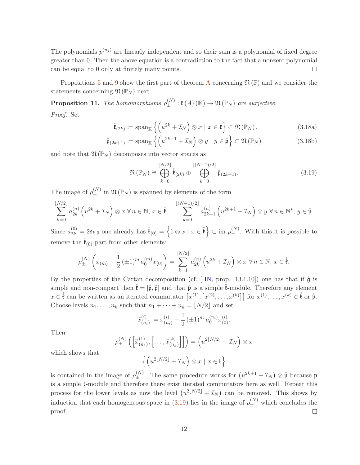The polynomials  $p^{(n_j)}$  are linearly independent and so their sum is a polynomial of fixed degree greater than 0. Then the above equation is a contradiction to the fact that a nonzero polynomial can be equal to 0 only at finitely many points.  $\Box$ 

Propositions [5](#page-8-2) and [9](#page-10-1) show the first part of theorem [A](#page-3-0) concerning  $\mathfrak{N}(\mathbb{P})$  and we consider the statements concerning  $\mathfrak{N}(\mathbb{P}_N)$  next.

<span id="page-12-3"></span>**Proposition 11.** The homomorphisms  $\rho_{\pm}^{(N)} : \mathfrak{k}(A) (\mathbb{K}) \to \mathfrak{N}(\mathbb{P}_N)$  are surjective. Proof. Set

$$
\mathring{\mathfrak{k}}_{(2k)} := \mathrm{span}_{\mathbb{K}} \left\{ \left( u^{2k} + \mathcal{I}_N \right) \otimes x \mid x \in \mathring{\mathfrak{k}} \right\} \subset \mathfrak{N}(\mathbb{P}_N), \tag{3.18a}
$$

$$
\mathring{\mathfrak{p}}_{(2k+1)} := \operatorname{span}_{\mathbb{K}} \left\{ \left( u^{2k+1} + \mathcal{I}_N \right) \otimes y \mid y \in \mathring{\mathfrak{p}} \right\} \subset \mathfrak{N}(\mathbb{P}_N) \tag{3.18b}
$$

and note that  $\mathfrak{N}(\mathbb{P}_N)$  decomposes into vector spaces as

<span id="page-12-2"></span><span id="page-12-1"></span><span id="page-12-0"></span>
$$
\mathfrak{N}(\mathbb{P}_N) \cong \bigoplus_{k=0}^{\lfloor N/2 \rfloor} \mathring{\mathfrak{k}}_{(2k)} \oplus \bigoplus_{k=0}^{\lfloor (N-1)/2 \rfloor} \mathring{\mathfrak{p}}_{(2k+1)}.
$$
\n(3.19)

The image of  $\rho_{\pm}^{(N)}$  in  $\mathfrak{N}(\mathbb{P}_N)$  is spanned by elements of the form

$$
\sum_{k=0}^{\lfloor N/2 \rfloor} a_{2k}^{(n)} \left( u^{2k} + \mathcal{I}_N \right) \otimes x \ \forall \, n \in \mathbb{N}, \, x \in \mathring{\mathfrak{k}}, \qquad \sum_{k=0}^{\lfloor (N-1)/2 \rfloor} a_{2k+1}^{(n)} \left( u^{2k+1} + \mathcal{I}_N \right) \otimes y \ \forall \, n \in \mathbb{N}^*, \, y \in \mathring{\mathfrak{p}}.
$$

Since  $a_{2k}^{(0)} = 2\delta_{k,0}$  one already has  $\mathring{\mathfrak{k}}_{(0)} = \left\{1 \otimes x \mid x \in \mathring{\mathfrak{k}}\right\} \subset \text{im } \rho_{\pm}^{(N)}$ . With this it is possible to remove the  $\mathfrak{k}_{(0)}$ -part from other elements:

$$
\rho_{\pm}^{(N)}\left(x_{(m)} - \frac{1}{2} \left(\pm 1\right)^m a_0^{(m)} x_{(0)}\right) = \sum_{k=1}^{\lfloor N/2 \rfloor} a_{2k}^{(n)} \left(u^{2k} + \mathcal{I}_N\right) \otimes x \,\forall n \in \mathbb{N}, \, x \in \overset{\circ}{\mathfrak{k}}.
$$

By the properties of the Cartan decomposition (cf. [\[HN,](#page-35-16) prop. 13.1.10]) one has that if  $\mathring{g}$  is simple and non-compact then  $\mathfrak{k} = [\mathfrak{p}, \mathfrak{p}]$  and that  $\mathfrak{p}$  is a simple  $\mathfrak{k}$ -module. Therefore any element  $x \in \mathring{\mathfrak{k}}$  can be written as an iterated commutator  $[x^{(1)}, [x^{(2)}, \ldots, x^{(k)}]]$  for  $x^{(1)}, \ldots, x^{(k)} \in \mathring{\mathfrak{k}}$  or  $\mathring{\mathfrak{p}}$ . Choose levels  $n_1, \ldots, n_k$  such that  $n_1 + \cdots + n_k = \lfloor N/2 \rfloor$  and set

$$
\widetilde{x}_{(n_i)}^{(i)} := x_{(n_i)}^{(i)} - \frac{1}{2} (\pm 1)^{n_i} a_0^{(n_i)} x_{(0)}^{(i)}.
$$

Then

$$
\rho_{\pm}^{(N)}\left(\left[\widetilde{x}_{(n_1)}^{(1)},\left[\ldots,\widetilde{x}_{(n_k)}^{(k)}\right]\right]\right)=\left(u^{2\lfloor N/2\rfloor}+\mathcal{I}_N\right)\otimes x
$$

which shows that

$$
\left\{ \left( u^{2\lfloor N/2 \rfloor} + \mathcal{I}_N \right) \otimes x \mid x \in \mathring{\mathfrak{k}} \right\}
$$

is contained in the image of  $\rho_{\pm}^{(N)}$ . The same procedure works for  $(u^{2k+1} + \mathcal{I}_N) \otimes \mathring{\mathfrak{p}}$  because  $\mathring{\mathfrak{p}}$ is a simple  $\check{\mathfrak{k}}$ -module and therefore there exist iterated commutators here as well. Repeat this process for the lower levels as now the level  $(u^{2\lfloor N/2 \rfloor} + \mathcal{I}_N)$  can be removed. This shows by induction that each homogeneous space in [\(3.19\)](#page-12-0) lies in the image of  $\rho_{\pm}^{(N)}$  which concludes the proof.  $\Box$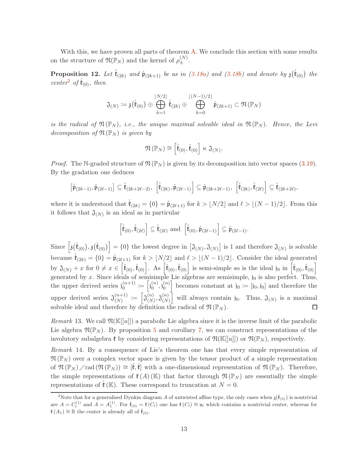With this, we have proven all parts of theorem [A.](#page-3-0) We conclude this section with some results on the structure of  $\mathfrak{N}(\mathbb{P}_N)$  and the kernel of  $\rho_{\pm}^{(N)}$ .

<span id="page-13-1"></span>**Proposition 12.** Let  $\overset{\circ}{\mathfrak{k}}_{(2k)}$  and  $\overset{\circ}{\mathfrak{p}}_{(2k+1)}$  be as in [\(3.18a\)](#page-12-1) and [\(3.18b\)](#page-12-2) and denote by  $\mathfrak{z}(\overset{\circ}{\mathfrak{k}}_{(0)})$  the center<sup>[2](#page-13-0)</sup> of  $\mathfrak{k}_{(0)}$ , then

$$
\mathfrak{J}_{(N)} \coloneqq \mathfrak{z}(\mathring{\mathfrak{k}}_{(0)}) \oplus \bigoplus_{k=1}^{\lfloor N/2 \rfloor} \mathring{\mathfrak{k}}_{(2k)} \oplus \bigoplus_{k=0}^{\lfloor (N-1)/2 \rfloor} \mathring{\mathfrak{p}}_{(2k+1)} \subset \mathfrak{N}(\mathbb{P}_N)
$$

is the radical of  $\mathfrak{N}(\mathbb{P}_N)$ , i.e., the unique maximal solvable ideal in  $\mathfrak{N}(\mathbb{P}_N)$ . Hence, the Levi decomposition of  $\mathfrak{N}(\mathbb{P}_N)$  is given by

$$
\mathfrak{N}\left(\mathbb{P}_N\right)\cong\left[\mathring{\mathfrak{k}}_{(0)},\mathring{\mathfrak{k}}_{(0)}\right]\ltimes\mathfrak{J}_{(N)}.
$$

*Proof.* The N-graded structure of  $\mathfrak{N}(\mathbb{P}_N)$  is given by its decomposition into vector spaces [\(3.19\)](#page-12-0). By the gradation one deduces

$$
\left[\mathring{\mathfrak{p}}_{(2k-1)},\mathring{\mathfrak{p}}_{(2\ell-1)}\right]\subseteq\mathring{\mathfrak{k}}_{(2k+2\ell-2)},\ \left[\mathring{\mathfrak{k}}_{(2k)},\mathring{\mathfrak{p}}_{(2\ell-1)}\right]\subseteq\mathring{\mathfrak{p}}_{(2k+2\ell-1)},\ \left[\mathring{\mathfrak{k}}_{(2k)},\mathring{\mathfrak{k}}_{(2\ell)}\right]\subseteq\mathring{\mathfrak{k}}_{(2k+2\ell)},
$$

where it is understood that  $\mathring{\mathfrak{k}}_{(2k)} = \{0\} = \mathring{\mathfrak{p}}_{(2\ell+1)}$  for  $k > \lfloor N/2 \rfloor$  and  $\ell > \lfloor (N-1)/2 \rfloor$ . From this it follows that  $\mathfrak{J}_{(N)}$  is an ideal as in particular

$$
\left[\mathring{\mathfrak{k}}_{(0)},\mathring{\mathfrak{k}}_{(2\ell)}\right]\subseteq\mathring{\mathfrak{k}}_{(2\ell)}\text{ and }\left[\mathring{\mathfrak{k}}_{(0)},\mathring{\mathfrak{p}}_{(2\ell-1)}\right]\subseteq\mathring{\mathfrak{p}}_{(2\ell-1)}.
$$

Since  $\left[\mathfrak{z}(\mathring{\mathfrak{k}}_{(0)}),\mathfrak{z}(\mathring{\mathfrak{k}}_{(0)})\right]=\{0\}$  the lowest degree in  $\left[\mathfrak{J}_{(N)},\mathfrak{J}_{(N)}\right]$  is 1 and therefore  $\mathfrak{J}_{(N)}$  is solvable because  $\mathring{\mathfrak{k}}_{(2k)} = \{0\} = \mathring{\mathfrak{p}}_{(2l+1)}$  for  $k > \lfloor N/2 \rfloor$  and  $\ell > \lfloor (N-1)/2 \rfloor$ . Consider the ideal generated by  $\mathfrak{J}_{(N)}+x$  for  $0 \neq x \in \left[\mathring{\mathfrak{k}}_{(0)},\mathring{\mathfrak{k}}_{(0)}\right]$ . As  $\left[\mathring{\mathfrak{k}}_{(0)},\mathring{\mathfrak{k}}_{(0)}\right]$  is semi-simple so is the ideal j<sub>0</sub> in  $\left[\mathring{\mathfrak{k}}_{(0)},\mathring{\mathfrak{k}}_{(0)}\right]$ generated by x. Since ideals of semisimple Lie algebras are semisimple,  $j_0$  is also perfect. Thus,  $\binom{n+1}{0} := \begin{bmatrix} j_0^{(n)} \end{bmatrix}$ becomes constant at  $j_0 := [j_0, j_0]$  and therefore the the upper derived series  $j_0^{(n+1)}$  $\mathfrak{j}_{0}^{(n)},\mathfrak{j}_{0}^{(n)}$ 0  $\begin{bmatrix} (n+1) \\ (N) \end{bmatrix} := \begin{bmatrix} \mathfrak{J}(n) \\ \mathfrak{J}(N) \end{bmatrix}$ will always contain j<sub>0</sub>. Thus,  $\mathfrak{J}_{(N)}$  is a maximal upper derived series  $\mathfrak{J}_{(N)}^{(n+1)}$  $\overset{(n)}{\chi}) , \mathfrak{J}^{(n)}_{(N)}$ (N) solvable ideal and therefore by definition the radical of  $\mathfrak{N}(\mathbb{P}_N)$ .  $\Box$ 

*Remark* 13. We call  $\mathfrak{N}(\mathbb{K}[[u]])$  a parabolic Lie algebra since it is the inverse limit of the parabolic Lie algebra  $\mathfrak{N}(\mathbb{P}_N)$ . By proposition [5](#page-8-2) and corollary [7,](#page-10-2) we can construct representations of the involutory subalgebra  $\mathfrak{k}$  by considering representations of  $\mathfrak{N}(\mathbb{K}[[u]])$  or  $\mathfrak{N}(\mathbb{P}_N)$ , respectively.

Remark 14. By a consequence of Lie's theorem one has that every simple representation of  $\mathfrak{N}(\mathbb{P}_N)$  over a complex vector space is given by the tensor product of a simple representation of  $\mathfrak{N}(\mathbb{P}_N)$  / rad  $(\mathfrak{N}(\mathbb{P}_N)) \cong [\mathfrak{k},\mathfrak{k}]$  with a one-dimensional representation of  $\mathfrak{N}(\mathbb{P}_N)$ . Therefore, the simple representations of  $\mathfrak{k}(A)$  (K) that factor through  $\mathfrak{N}(\mathbb{P}_N)$  are essentially the simple representations of  $\check{\mathfrak{k}}(\mathbb{K})$ . These correspond to truncation at  $N=0$ .

<span id="page-13-0"></span><sup>&</sup>lt;sup>2</sup>Note that for a generalised Dynkin diagram A of untwisted affine type, the only cases when  $\mathfrak{z}(\dot{\mathfrak{k}}_{(0)})$  is nontrivial are  $A = C_l^{(1)}$  and  $A = A_1^{(1)}$ . For  $\mathring{\mathfrak{k}}_{(0)} = \mathfrak{k}(C_l)$  one has  $\mathfrak{k}(C_l) \cong \mathfrak{u}_l$  which contains a nontrivial center, whereas for  $\mathfrak{k}(A_1) \cong \mathbb{R}$  the center is already all of  $\mathfrak{k}_{(0)}$ .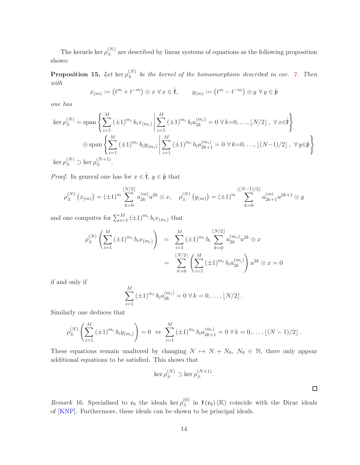The kernels ker  $\rho_{\pm}^{(N)}$  are described by linear systems of equations as the following proposition shows:

**Proposition 15.** Let ker $\rho_{\pm}^{(N)}$  be the kernel of the homomorphism described in cor. [7.](#page-10-2) Then with

$$
x_{(m)} := (t^m + t^{-m}) \otimes x \,\forall\, x \in \mathring{\mathfrak{k}}, \qquad y_{(m)} := (t^m - t^{-m}) \otimes y \,\forall\, y \in \mathring{\mathfrak{p}}
$$

one has

$$
\ker \rho_{\pm}^{(N)} = \text{span}\left\{ \sum_{i=1}^{M} (\pm 1)^{m_i} b_i x_{(m_i)} \middle| \sum_{i=1}^{M} (\pm 1)^{m_i} b_i a_{2k}^{(m_i)} = 0 \,\forall k=0,\dots, \lfloor N/2 \rfloor, \,\forall x \in \stackrel{\circ}{\mathfrak{k}} \right\}
$$
  

$$
\oplus \text{span}\left\{ \sum_{i=1}^{M} (\pm 1)^{m_i} b_i y_{(m_i)} \middle| \sum_{i=1}^{M} (\pm 1)^{m_i} b_i a_{2k+1}^{(m_i)} = 0 \,\forall k=0,\dots, \lfloor (N-1)/2 \rfloor, \,\forall y \in \stackrel{\circ}{\mathfrak{p}} \right\}
$$
  

$$
\ker \rho_{\pm}^{(N)} \supset \ker \rho_{\pm}^{(N+1)}.
$$

*Proof.* In general one has for  $x \in \overset{\circ}{\mathfrak{k}}, y \in \overset{\circ}{\mathfrak{p}}$  that

$$
\rho_{\pm}^{(N)}(x_{(m)}) = (\pm 1)^m \sum_{k=0}^{\lfloor N/2 \rfloor} a_{2k}^{(m)} u^{2k} \otimes x, \quad \rho_{\pm}^{(N)}(y_{(m)}) = (\pm 1)^m \sum_{k=0}^{\lfloor (N-1)/2 \rfloor} a_{2k+1}^{(m)} u^{2k+1} \otimes y
$$

and one computes for  $\sum_{i=1}^{M} (\pm 1)^{m_i} b_i x_{(m_i)}$  that

$$
\rho_{\pm}^{(N)} \left( \sum_{i=1}^{M} (\pm 1)^{m_i} b_i x_{(m_i)} \right) = \sum_{i=1}^{M} (\pm 1)^{m_i} b_i \sum_{k=0}^{\lfloor N/2 \rfloor} a_{2k}^{(m_i)} u^{2k} \otimes x
$$

$$
= \sum_{k=0}^{\lfloor N/2 \rfloor} \left( \sum_{i=1}^{M} (\pm 1)^{m_i} b_i a_{2k}^{(m_i)} \right) u^{2k} \otimes x = 0
$$

if and only if

$$
\sum_{i=1}^{M} (\pm 1)^{m_i} b_i a_{2k}^{(m_i)} = 0 \ \forall k = 0, \dots, \lfloor N/2 \rfloor.
$$

Similarly one deduces that

$$
\rho_{\pm}^{(N)}\left(\sum_{i=1}^M\left(\pm 1\right)^{m_i}b_iy_{(m_i)}\right)=0 \Leftrightarrow \sum_{i=1}^M\left(\pm 1\right)^{m_i}b_ia_{2k+1}^{(m_i)}=0 \ \forall\,k=0,\ldots,\lfloor (N-1)/2\rfloor\,.
$$

These equations remain unaltered by changing  $N \rightarrow N + N_0$ ,  $N_0 \in \mathbb{N}$ , there only appear additional equations to be satisfied. This shows that

$$
\ker \rho_{\pm}^{(N)} \supset \ker \rho_{\pm}^{(N+1)}.
$$

 $\Box$ 

Remark 16. Specialised to  $\mathfrak{e}_9$  the ideals ker  $\rho_{\pm}^{(0)}$  in  $\mathfrak{k}(\mathfrak{e}_9)$  (K) coincide with the Dirac ideals of [\[KNP\]](#page-36-15). Furthermore, these ideals can be shown to be principal ideals.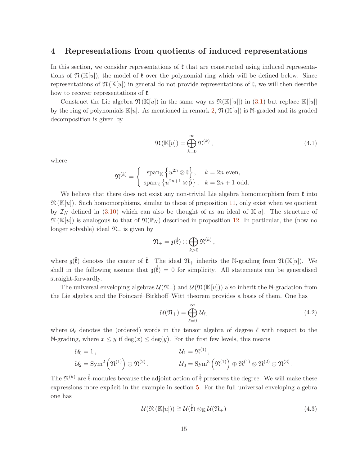### <span id="page-15-0"></span>4 Representations from quotients of induced representations

In this section, we consider representations of  $\mathfrak k$  that are constructed using induced representations of  $\mathfrak{N}(\mathbb{K}[u])$ , the model of  $\mathfrak{k}$  over the polynomial ring which will be defined below. Since representations of  $\mathfrak{N}(\mathbb{K}[u])$  in general do not provide representations of  $\mathfrak{k}$ , we will then describe how to recover representations of  $\mathfrak{k}$ .

Construct the Lie algebra  $\mathfrak{N}(\mathbb{K}[u])$  in the same way as  $\mathfrak{N}(\mathbb{K}[u]])$  in [\(3.1\)](#page-6-1) but replace  $\mathbb{K}[u]]$ by the ring of polynomials  $\mathbb{K}[u]$ . As mentioned in remark [2,](#page-7-1)  $\mathfrak{N}(\mathbb{K}[u])$  is N-graded and its graded decomposition is given by

<span id="page-15-1"></span>
$$
\mathfrak{N}(\mathbb{K}[u]) = \bigoplus_{k=0}^{\infty} \mathfrak{N}^{(k)},\tag{4.1}
$$

where

$$
\mathfrak{N}^{(k)} = \begin{cases} \operatorname{span}_{\mathbb{K}} \left\{ u^{2n} \otimes \mathring{\mathfrak{k}} \right\}, & k = 2n \text{ even}, \\ \operatorname{span}_{\mathbb{K}} \left\{ u^{2n+1} \otimes \mathring{\mathfrak{p}} \right\}, & k = 2n + 1 \text{ odd}. \end{cases}
$$

We believe that there does not exist any non-trivial Lie algebra homomorphism from  $\mathfrak k$  into  $\mathfrak{N}(\mathbb{K}[u])$ . Such homomorphisms, similar to those of proposition [11,](#page-12-3) only exist when we quotient by  $\mathcal{I}_N$  defined in [\(3.10\)](#page-9-0) which can also be thought of as an ideal of  $\mathbb{K}[u]$ . The structure of  $\mathfrak{N}(\mathbb{K}[u])$  is analogous to that of  $\mathfrak{N}(\mathbb{P}_N)$  described in proposition [12.](#page-13-1) In particular, the (now no longer solvable) ideal  $\mathfrak{N}_+$  is given by

$$
\mathfrak{N}_+=\mathfrak{z}(\mathring{\mathfrak{k}})\oplus\bigoplus_{k>0}\mathfrak{N}^{(k)}\,,
$$

where  $\mathfrak{z}(\check{\mathfrak{k}})$  denotes the center of  $\check{\mathfrak{k}}$ . The ideal  $\mathfrak{N}_+$  inherits the N-grading from  $\mathfrak{N}(\mathbb{K}[u])$ . We shall in the following assume that  $\mathfrak{z}(\mathfrak{k}) = 0$  for simplicity. All statements can be generalised straight-forwardly.

The universal enveloping algebras  $\mathcal{U}(\mathfrak{N}_+)$  and  $\mathcal{U}(\mathfrak{N}(\mathbb{K}[u]))$  also inherit the N-gradation from the Lie algebra and the Poincaré–Birkhoff–Witt theorem provides a basis of them. One has

$$
\mathcal{U}(\mathfrak{N}_+) = \bigoplus_{\ell=0}^{\infty} \mathcal{U}_{\ell},\tag{4.2}
$$

where  $\mathcal{U}_{\ell}$  denotes the (ordered) words in the tensor algebra of degree  $\ell$  with respect to the N-grading, where  $x \leq y$  if  $\deg(x) \leq \deg(y)$ . For the first few levels, this means

$$
\mathcal{U}_0 = 1, \qquad \qquad \mathcal{U}_1 = \mathfrak{N}^{(1)}, \n\mathcal{U}_2 = \text{Sym}^2 \left( \mathfrak{N}^{(1)} \right) \oplus \mathfrak{N}^{(2)}, \qquad \qquad \mathcal{U}_3 = \text{Sym}^3 \left( \mathfrak{N}^{(1)} \right) \oplus \mathfrak{N}^{(1)} \otimes \mathfrak{N}^{(2)} \oplus \mathfrak{N}^{(3)}.
$$

The  $\mathfrak{N}^{(k)}$  are  $\overset{\circ}{\mathfrak{k}}$ -modules because the adjoint action of  $\overset{\circ}{\mathfrak{k}}$  preserves the degree. We will make these expressions more explicit in the example in section [5.](#page-19-0) For the full universal enveloping algebra one has

<span id="page-15-2"></span>
$$
\mathcal{U}(\mathfrak{N}(\mathbb{K}[u])) \cong \mathcal{U}(\overset{\circ}{\mathfrak{k}}) \otimes_{\mathbb{K}} \mathcal{U}(\mathfrak{N}_+) \tag{4.3}
$$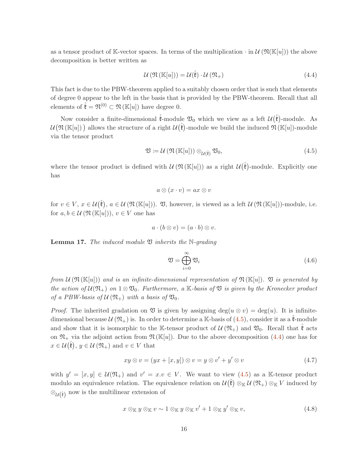as a tensor product of K-vector spaces. In terms of the multiplication  $\cdot$  in  $\mathcal{U}(\mathbb{K}[u])$  the above decomposition is better written as

<span id="page-16-1"></span>
$$
\mathcal{U}\left(\mathfrak{N}\left(\mathbb{K}[u]\right)\right) = \mathcal{U}(\overset{\circ}{\mathfrak{k}})\cdot\mathcal{U}\left(\mathfrak{N}_+\right) \tag{4.4}
$$

This fact is due to the PBW-theorem applied to a suitably chosen order that is such that elements of degree 0 appear to the left in the basis that is provided by the PBW-theorem. Recall that all elements of  $\mathring{\mathfrak{k}} = \mathfrak{N}^{(0)} \subset \mathfrak{N}(\mathbb{K}[u])$  have degree 0.

Now consider a finite-dimensional  $\mathring{\mathfrak{k}}$ -module  $\mathfrak{V}_0$  which we view as a left  $\mathcal{U}(\mathring{\mathfrak{k}})$ -module. As  $\mathcal{U}(\mathfrak{N}(\mathbb{K}[u]))$  allows the structure of a right  $\mathcal{U}(\mathring{\mathfrak{k}})$ -module we build the induced  $\mathfrak{N}(\mathbb{K}[u])$ -module via the tensor product

$$
\mathfrak{V} := \mathcal{U} \left( \mathfrak{N} \left( \mathbb{K}[u] \right) \right) \otimes_{\mathcal{U}(\mathfrak{k})} \mathfrak{V}_0, \tag{4.5}
$$

where the tensor product is defined with  $\mathcal{U}(\mathfrak{N}(\mathbb{K}[u]))$  as a right  $\mathcal{U}(\mathring{\mathfrak{k}})$ -module. Explicitly one has

<span id="page-16-0"></span>
$$
a\otimes (x\cdot v)=ax\otimes v
$$

for  $v \in V$ ,  $x \in \mathcal{U}(\mathring{\mathfrak{k}})$ ,  $a \in \mathcal{U}(\mathfrak{N}(\mathbb{K}[u]))$ .  $\mathfrak{V}$ , however, is viewed as a left  $\mathcal{U}(\mathfrak{N}(\mathbb{K}[u]))$ -module, i.e. for  $a, b \in \mathcal{U}(\mathfrak{N}(\mathbb{K}[u])), v \in V$  one has

$$
a \cdot (b \otimes v) = (a \cdot b) \otimes v.
$$

<span id="page-16-5"></span>**Lemma 17.** The induced module  $\mathfrak V$  inherits the N-grading

<span id="page-16-4"></span><span id="page-16-3"></span>
$$
\mathfrak{V} = \bigoplus_{i=0}^{\infty} \mathfrak{V}_i \tag{4.6}
$$

from  $\mathcal{U}(\mathfrak{N}(\mathbb{K}[u]))$  and is an infinite-dimensional representation of  $\mathfrak{N}(\mathbb{K}[u])$ .  $\mathfrak{V}$  is generated by the action of  $\mathcal{U}(\mathfrak{N}_+)$  on  $1 \otimes \mathfrak{V}_0$ . Furthermore, a K-basis of  $\mathfrak{V}$  is given by the Kronecker product of a PBW-basis of  $\mathcal{U}(\mathfrak{N}_+)$  with a basis of  $\mathfrak{V}_0$ .

*Proof.* The inherited gradation on  $\mathfrak V$  is given by assigning deg( $u \otimes v$ ) = deg(u). It is infinitedimensional because  $\mathcal{U}(\mathfrak{N}_+)$  is. In order to determine a K-basis of [\(4.5\)](#page-16-0), consider it as a  $\mathfrak{k}$ -module and show that it is isomorphic to the K-tensor product of  $\mathcal{U}(\mathfrak{N}_{+})$  and  $\mathfrak{V}_{0}$ . Recall that  $\mathfrak{k}$  acts on  $\mathfrak{N}_+$  via the adjoint action from  $\mathfrak{N}(\mathbb{K}[u])$ . Due to the above decomposition [\(4.4\)](#page-16-1) one has for  $x \in \mathcal{U}(\mathring{\mathfrak{k}}), y \in \mathcal{U}(\mathfrak{N}_+)$  and  $v \in V$  that

$$
xy \otimes v = (yx + [x, y]) \otimes v = y \otimes v' + y' \otimes v \tag{4.7}
$$

with  $y' = [x, y] \in \mathcal{U}(\mathfrak{N}_+)$  and  $v' = x.v \in V$ . We want to view  $(4.5)$  as a K-tensor product modulo an equivalence relation. The equivalence relation on  $\mathcal{U}(\mathring{\mathfrak{k}}) \otimes_{\mathbb{K}} \mathcal{U}(\mathfrak{N}_+) \otimes_{\mathbb{K}} V$  induced by  $\otimes_{\mathcal{U}(\mathfrak{k})}$  now is the multilinear extension of

<span id="page-16-2"></span>
$$
x \otimes_{\mathbb{K}} y \otimes_{\mathbb{K}} v \sim 1 \otimes_{\mathbb{K}} y \otimes_{\mathbb{K}} v' + 1 \otimes_{\mathbb{K}} y' \otimes_{\mathbb{K}} v,
$$
\n(4.8)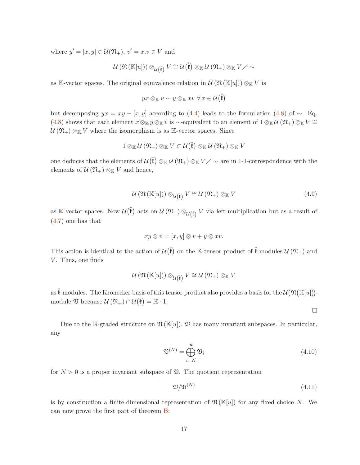where  $y' = [x, y] \in \mathcal{U}(\mathfrak{N}_+), v' = x.v \in V$  and

$$
\mathcal{U}\left(\mathfrak{N}\left(\mathbb{K}[u]\right)\right)\otimes_{\mathcal{U}\left(\boldsymbol{\mathfrak{k}}\right)}V\cong\mathcal{U}\left(\boldsymbol{\mathfrak{k}}\right)\otimes_{\mathbb{K}}\mathcal{U}\left(\mathfrak{N}_+\right)\otimes_{\mathbb{K}}V\diagup\sim
$$

as K-vector spaces. The original equivalence relation in  $\mathcal{U}(\mathfrak{N}(\mathbb{K}[u])) \otimes_{\mathbb{K}} V$  is

$$
yx\otimes_{\mathbb{K}} v\sim y\otimes_{\mathbb{K}} xv\;\forall\,x\in \mathcal{U}\big(\mathring{\mathfrak{k}}\big)
$$

but decomposing  $yx = xy - [x, y]$  according to [\(4.4\)](#page-16-1) leads to the formulation [\(4.8\)](#page-16-2) of ~. Eq. [\(4.8\)](#page-16-2) shows that each element  $x \otimes_{\mathbb{K}} y \otimes_{\mathbb{K}} v$  is ∼-equivalent to an element of  $1 \otimes_{\mathbb{K}} \mathcal{U}(\mathfrak{N}_+) \otimes_{\mathbb{K}} V \cong$  $U(\mathfrak{N}_+) \otimes_{\mathbb{K}} V$  where the isomorphism is as K-vector spaces. Since

$$
1\otimes_{\mathbb{K}}\mathcal{U}\left(\mathfrak{N}_{+}\right)\otimes_{\mathbb{K}}V\subset\mathcal{U}\big(\mathring{\mathfrak{k}}\big)\otimes_{\mathbb{K}}\mathcal{U}\left(\mathfrak{N}_{+}\right)\otimes_{\mathbb{K}}V
$$

one deduces that the elements of  $\mathcal{U}(\r{f}) \otimes_{\mathbb{K}} \mathcal{U}(\mathfrak{N}_+) \otimes_{\mathbb{K}} V \nearrow \sim \text{are in 1-1-correspondence with the}$ elements of  $\mathcal{U}(\mathfrak{N}_+) \otimes_{\mathbb{K}} V$  and hence,

$$
U(\mathfrak{N}(\mathbb{K}[u])) \otimes_{\mathcal{U}(\mathring{\mathfrak{k}})} V \cong \mathcal{U}(\mathfrak{N}_+) \otimes_{\mathbb{K}} V \tag{4.9}
$$

as K-vector spaces. Now  $\mathcal{U}(\mathring{\mathfrak{k}})$  acts on  $\mathcal{U}(\mathfrak{N}_+) \otimes_{\mathcal{U}(\mathring{\mathfrak{k}})} V$  via left-multiplication but as a result of [\(4.7\)](#page-16-3) one has that

$$
xy \otimes v = [x, y] \otimes v + y \otimes xv.
$$

This action is identical to the action of  $\mathcal{U}(\hat{\mathfrak{k}})$  on the K-tensor product of  $\hat{\mathfrak{k}}$ -modules  $\mathcal{U}(\mathfrak{N}_+)$  and  $V$ . Thus, one finds

$$
\mathcal{U}\left(\mathfrak{N}\left(\mathbb{K}[u]\right)\right)\otimes_{\mathcal{U}\left(\mathfrak{k}\right)} V\cong \mathcal{U}\left(\mathfrak{N}_+\right)\otimes_{\mathbb{K}} V
$$

as  $\mathring{\mathfrak{k}}$ -modules. The Kronecker basis of this tensor product also provides a basis for the  $\mathcal{U}(\mathfrak{N}[\mathbb{K}[u])]$ module  $\mathfrak V$  because  $\mathcal U(\mathfrak N_+) \cap \mathcal U(\mathfrak k) = \mathbb K \cdot 1$ .

Due to the N-graded structure on  $\mathfrak{N}(\mathbb{K}[u])$ ,  $\mathfrak V$  has many invariant subspaces. In particular, any

$$
\mathfrak{V}^{(N)} = \bigoplus_{i=N}^{\infty} \mathfrak{V}_i \tag{4.10}
$$

<span id="page-17-1"></span><span id="page-17-0"></span> $\Box$ 

for  $N > 0$  is a proper invariant subspace of  $\mathfrak{V}$ . The quotient representation

$$
\mathfrak{V}/\mathfrak{V}^{(N)}\tag{4.11}
$$

is by construction a finite-dimensional representation of  $\mathfrak{N}(\mathbb{K}[u])$  for any fixed choice N. We can now prove the first part of theorem [B:](#page-7-1)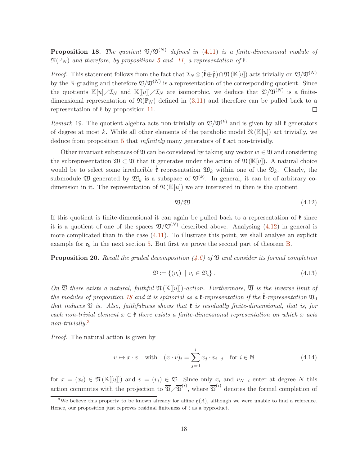<span id="page-18-1"></span>**Proposition 18.** The quotient  $\mathfrak{V}/\mathfrak{V}^{(N)}$  defined in [\(4.11\)](#page-17-0) is a finite-dimensional module of  $\mathfrak{N}(\mathbb{P}_N)$  and therefore, by propositions [5](#page-8-2) and [11,](#page-12-3) a representation of  $\mathfrak{k}$ .

*Proof.* This statement follows from the fact that  $\mathcal{I}_N \otimes (\check{\mathfrak{k}} \oplus \hat{\mathfrak{p}}) \cap \mathfrak{N}(\mathbb{K}[u])$  acts trivially on  $\mathfrak{V}/\mathfrak{V}^{(N)}$ by the N-grading and therefore  $\mathfrak{V}/\mathfrak{V}^{(N)}$  is a representation of the corresponding quotient. Since the quotients  $\mathbb{K}[u]/\mathcal{I}_N$  and  $\mathbb{K}[[u]]/\mathcal{I}_N$  are isomorphic, we deduce that  $\mathfrak{V}/\mathfrak{V}^{(N)}$  is a finitedimensional representation of  $\mathfrak{N}(\mathbb{P}_N)$  defined in [\(3.11\)](#page-9-1) and therefore can be pulled back to a representation of  $\mathfrak k$  by proposition [11.](#page-12-3)  $\Box$ 

Remark 19. The quotient algebra acts non-trivially on  $\mathfrak{V}/\mathfrak{V}^{(k)}$  and is given by all  $\mathfrak{k}$  generators of degree at most k. While all other elements of the parabolic model  $\mathfrak{N}(\mathbb{K}[u])$  act trivially, we deduce from proposition [5](#page-8-2) that *infinitely* many generators of  $\mathfrak{k}$  act non-trivially.

Other invariant subspaces of  $\mathfrak V$  can be considered by taking any vector  $w \in \mathfrak V$  and considering the subrepresentation  $\mathfrak{W} \subset \mathfrak{V}$  that it generates under the action of  $\mathfrak{N}(\mathbb{K}[u])$ . A natural choice would be to select some irreducible  $\check{\mathfrak{k}}$  representation  $\mathfrak{W}_k$  within one of the  $\mathfrak{V}_k$ . Clearly, the submodule  $\mathfrak W$  generated by  $\mathfrak W_k$  is a subspace of  $\mathfrak V^{(k)}$ . In general, it can be of arbitrary codimension in it. The representation of  $\mathfrak{N}(\mathbb{K}[u])$  we are interested in then is the quotient

<span id="page-18-0"></span>
$$
\mathfrak{V}/\mathfrak{W}.\tag{4.12}
$$

If this quotient is finite-dimensional it can again be pulled back to a representation of  $\mathfrak k$  since it is a quotient of one of the spaces  $\mathfrak{V}/\mathfrak{V}^{(N)}$  described above. Analysing [\(4.12\)](#page-18-0) in general is more complicated than in the case [\(4.11\)](#page-17-0). To illustrate this point, we shall analyse an explicit example for  $e_9$  in the next section [5.](#page-19-0) But first we prove the second part of theorem **B**.

**Proposition 20.** Recall the graded decomposition  $(4.6)$  of  $\mathfrak V$  and consider its formal completion

$$
\overline{\mathfrak{V}} \coloneqq \{(v_i) \mid v_i \in \mathfrak{V}_i\} \,. \tag{4.13}
$$

On  $\overline{\mathfrak{V}}$  there exists a natural, faithful  $\mathfrak{N}(\mathbb{K}[[u]])$ -action. Furthermore,  $\overline{\mathfrak{V}}$  is the inverse limit of the modules of proposition [18](#page-18-1) and it is spinorial as a  $\mathfrak{k}$ -representation if the  $\mathfrak{k}$ -representation  $\mathfrak{V}_0$ that induces  $\mathfrak V$  is. Also, faithfulness shows that  $\mathfrak k$  is residually finite-dimensional, that is, for each non-trivial element  $x \in \mathfrak{k}$  there exists a finite-dimensional representation on which x acts non-trivially.<sup>[3](#page-18-2)</sup>

Proof. The natural action is given by

$$
v \mapsto x \cdot v \quad \text{with} \quad (x \cdot v)_i = \sum_{j=0}^i x_j \cdot v_{i-j} \quad \text{for } i \in \mathbb{N}
$$
 (4.14)

for  $x = (x_i) \in \mathfrak{N}(\mathbb{K}[[u]])$  and  $v = (v_i) \in \overline{\mathfrak{V}}$ . Since only  $x_i$  and  $v_{N-i}$  enter at degree N this action commutes with the projection to  $\overline{\mathfrak{V}}\diagup \overline{\mathfrak{V}}^{(i)}$ , where  $\overline{\mathfrak{V}}^{(i)}$  denotes the formal completion of

<span id="page-18-2"></span><sup>&</sup>lt;sup>3</sup>We believe this property to be known already for affine  $g(A)$ , although we were unable to find a reference. Hence, our proposition just reproves residual finiteness of  $\mathfrak k$  as a byproduct.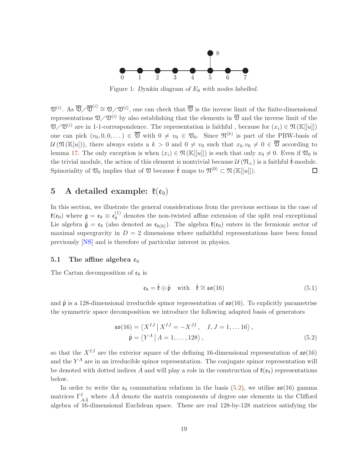

<span id="page-19-3"></span>Figure 1: *Dynkin diagram of* E<sup>9</sup> *with nodes labelled.*

 $\mathfrak{V}^{(i)}$ . As  $\overline{\mathfrak{V}}/\overline{\mathfrak{V}}^{(i)} \cong \mathfrak{V}/\mathfrak{V}^{(i)}$ , one can check that  $\overline{\mathfrak{V}}$  is the inverse limit of the finite-dimensional representations  $\mathfrak{V}/\mathfrak{V}^{(i)}$  by also establishing that the elements in  $\overline{\mathfrak{V}}$  and the inverse limit of the  $\mathfrak{V}/\mathfrak{V}^{(i)}$  are in 1-1-correspondence. The representation is faithful, because for  $(x_i) \in \mathfrak{N}(\mathbb{K}[[u]])$ one can pick  $(v_0, 0, 0, ...) \in \overline{\mathfrak{V}}$  with  $0 \neq v_0 \in \mathfrak{V}_0$ . Since  $\mathfrak{N}^{(k)}$  is part of the PBW-basis of  $U(\mathfrak{N}(\mathbb{K}[u]))$ , there always exists a  $k > 0$  and  $0 \neq v_0$  such that  $x_k \cdot v_0 \neq 0 \in \overline{\mathfrak{V}}$  according to lemma [17.](#page-16-5) The only exception is when  $(x_i) \in \mathfrak{N}(\mathbb{K}[[u]])$  is such that only  $x_0 \neq 0$ . Even if  $\mathfrak{V}_0$  is the trivial module, the action of this element is nontrivial because  $\mathcal{U}(\mathfrak{N}_{+})$  is a faithful  $\mathring{\mathfrak{k}}$ -module. Spinoriality of  $\mathfrak{V}_0$  implies that of  $\mathfrak V$  because  $\mathring{\mathfrak{k}}$  maps to  $\mathfrak{N}^{(0)} \subset \mathfrak{N}(\mathbb{K}[[u]])$ . □

# <span id="page-19-0"></span>5 A detailed example:  $\ell(\mathfrak{e}_9)$

In this section, we illustrate the general considerations from the previous sections in the case of  $\mathfrak{k}(\mathfrak{e}_9)$  where  $\mathfrak{g}=\mathfrak{e}_9\equiv\mathfrak{e}_8^{(1)}$  $8<sup>(1)</sup>$  denotes the non-twisted affine extension of the split real exceptional Lie algebra  $\mathring{\mathfrak{g}} = \mathfrak{e}_8$  (also denoted as  $\mathfrak{e}_{8(8)}$ ). The algebra  $\mathfrak{k}(\mathfrak{e}_9)$  enters in the fermionic sector of maximal supergravity in  $D = 2$  dimensions where unfaithful representations have been found previously [\[NS\]](#page-36-3) and is therefore of particular interest in physics.

#### 5.1 The affine algebra  $\mathfrak{e}_9$

The Cartan decomposition of  $\mathfrak{e}_8$  is

<span id="page-19-2"></span><span id="page-19-1"></span>
$$
\mathfrak{e}_8 = \mathring{\mathfrak{k}} \oplus \mathring{\mathfrak{p}} \quad \text{with} \quad \mathring{\mathfrak{k}} \cong \mathfrak{so}(16) \tag{5.1}
$$

and  $\hat{\mathfrak{p}}$  is a 128-dimensional irreducible spinor representation of  $\mathfrak{so}(16)$ . To explicitly parametrise the symmetric space decomposition we introduce the following adapted basis of generators

$$
\mathfrak{so}(16) = \langle X^{IJ} | X^{IJ} = -X^{JI}, I, J = 1,...16 \rangle,
$$
  

$$
\mathfrak{p} = \langle Y^A | A = 1,...,128 \rangle,
$$
 (5.2)

so that the  $X^{IJ}$  are the exterior square of the defining 16-dimensional representation of  $\mathfrak{so}(16)$ and the  $Y^A$  are in an irreducible spinor representation. The conjugate spinor representation will be denoted with dotted indices  $\dot{A}$  and will play a role in the construction of  $\mathfrak{k}(\mathfrak{e}_9)$  representations below.

In order to write the  $\mathfrak{e}_8$  commutation relations in the basis [\(5.2\)](#page-19-1), we utilise  $\mathfrak{so}(16)$  gamma matrices  $\Gamma_{A\dot{A}}^{I}$  where  $A\dot{A}$  denote the matrix components of degree one elements in the Clifford algebra of 16-dimensional Euclidean space. These are real 128-by-128 matrices satisfying the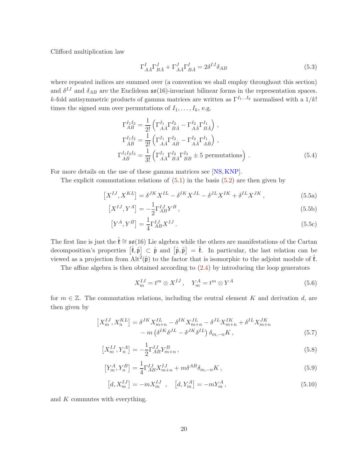Clifford multiplication law

$$
\Gamma_{A\dot{A}}^I \Gamma_{B\dot{A}}^J + \Gamma_{A\dot{A}}^J \Gamma_{B\dot{A}}^I = 2\delta^{IJ}\delta_{AB}
$$
\n(5.3)

where repeated indices are summed over (a convention we shall employ throughout this section) and  $\delta^{IJ}$  and  $\delta_{AB}$  are the Euclidean  $\mathfrak{so}(16)$ -invariant bilinear forms in the representation spaces. k-fold antisymmetric products of gamma matrices are written as  $\Gamma^{I_1...I_k}$  normalised with a  $1/k!$ times the signed sum over permutations of  $I_1, \ldots, I_k$ , e.g.

$$
\Gamma_{AB}^{I_1 I_2} = \frac{1}{2!} \left( \Gamma_{A\dot{A}}^{I_1} \Gamma_{B\dot{A}}^{I_2} - \Gamma_{A\dot{A}}^{I_2} \Gamma_{B\dot{A}}^{I_1} \right) ,
$$
\n
$$
\Gamma_{\dot{A}\dot{B}}^{I_1 I_2} = \frac{1}{2!} \left( \Gamma_{A\dot{A}}^{I_1} \Gamma_{A\dot{B}}^{I_2} - \Gamma_{A\dot{A}}^{I_2} \Gamma_{A\dot{B}}^{I_1} \right) ,
$$
\n
$$
\Gamma_{A\dot{B}}^{I_1 I_2 I_3} = \frac{1}{3!} \left( \Gamma_{A\dot{A}}^{I_1} \Gamma_{B\dot{A}}^{I_2} \Gamma_{B\dot{B}}^{I_3} \pm 5 \text{ permutations} \right) .
$$
\n(5.4)

For more details on the use of these gamma matrices see [\[NS,](#page-36-3)[KNP\]](#page-36-15).

The explicit commutations relations of  $(5.1)$  in the basis  $(5.2)$  are then given by

$$
\left[X^{IJ}, X^{KL}\right] = \delta^{JK} X^{IL} - \delta^{IK} X^{JL} - \delta^{JL} X^{IK} + \delta^{IL} X^{JK},\tag{5.5a}
$$

$$
\left[X^{IJ}, Y^A\right] = -\frac{1}{2} \Gamma_{AB}^{IJ} Y^B \,,\tag{5.5b}
$$

$$
\left[Y^A, Y^B\right] = \frac{1}{4} \Gamma_{AB}^{IJ} X^{IJ} \,. \tag{5.5c}
$$

The first line is just the  $\mathring{\mathfrak{k}} \cong \mathfrak{so}(16)$  Lie algebra while the others are manifestations of the Cartan decomposition's properties  $[\hat{\mathfrak{k}}, \hat{\mathfrak{p}}] \subset \hat{\mathfrak{p}}$  and  $[\hat{\mathfrak{p}}, \hat{\mathfrak{p}}] = \hat{\mathfrak{k}}$ . In particular, the last relation can be viewed as a projection from  $\text{Alt}^2(\mathring{\mathfrak{p}})$  to the factor that is isomorphic to the adjoint module of  $\mathring{\mathfrak{k}}$ .

The affine algebra is then obtained according to  $(2.4)$  by introducing the loop generators

<span id="page-20-0"></span>
$$
X_m^{IJ} = t^m \otimes X^{IJ}, \quad Y_m^A = t^m \otimes Y^A \tag{5.6}
$$

for  $m \in \mathbb{Z}$ . The commutation relations, including the central element K and derivation d, are then given by

$$
\begin{aligned} \left[X_m^{IJ}, X_n^{KL}\right] &= \delta^{JK} X_{m+n}^{IL} - \delta^{IK} X_{m+n}^{JL} - \delta^{JL} X_{m+n}^{IK} + \delta^{IL} X_{m+n}^{JK} \\ &- m \left(\delta^{IK} \delta^{JL} - \delta^{JK} \delta^{IL}\right) \delta_{m,-n} K \,, \end{aligned} \tag{5.7}
$$

$$
\left[X_m^{IJ}, Y_n^A\right] = -\frac{1}{2} \Gamma_{AB}^{IJ} Y_{m+n}^B \,,\tag{5.8}
$$

$$
\left[Y_m^A, Y_n^B\right] = \frac{1}{4} \Gamma_{AB}^{IJ} X_{m+n}^{IJ} + m \delta^{AB} \delta_{m,-n} K \,, \tag{5.9}
$$

$$
[d, X_m^{IJ}] = -m X_m^{IJ} , [d, Y_m^A] = -m Y_m^A , \qquad (5.10)
$$

and  $K$  commutes with everything.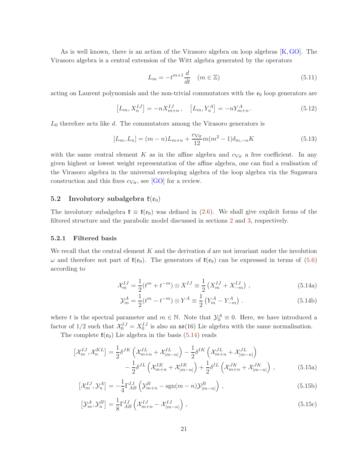As is well known, there is an action of the Virasoro algebra on loop algebras [\[K,](#page-35-0)[GO\]](#page-35-14). The Virasoro algebra is a central extension of the Witt algebra generated by the operators

$$
L_m = -t^{m+1} \frac{d}{dt} \quad (m \in \mathbb{Z})
$$
\n<sup>(5.11)</sup>

acting on Laurent polynomials and the non-trivial commutators with the  $\mathfrak{e}_9$  loop generators are

$$
[L_m, X_n^{IJ}] = -n X_{m+n}^{IJ}, \quad [L_m, Y_n^A] = -n Y_{m+n}^A. \tag{5.12}
$$

 $L_0$  therefore acts like d. The commutators among the Virasoro generators is

$$
[L_m, L_n] = (m - n)L_{m+n} + \frac{c_{\text{Vir}}}{12}m(m^2 - 1)\delta_{m, -n}K
$$
\n(5.13)

with the same central element  $K$  as in the affine algebra and  $c_{\text{Vir}}$  a free coefficient. In any given highest or lowest weight representation of the affine algebra, one can find a realisation of the Virasoro algebra in the universal enveloping algebra of the loop algebra via the Sugawara construction and this fixes  $c_{\text{Vir}}$ , see [\[GO\]](#page-35-14) for a review.

#### 5.2 Involutory subalgebra  $\mathfrak{k}(e_9)$

The involutory subalgebra  $\mathfrak{k} \equiv \mathfrak{k}(e_9)$  was defined in [\(2.6\)](#page-5-1). We shall give explicit forms of the filtered structure and the parabolic model discussed in sections [2](#page-4-0) and [3,](#page-6-0) respectively.

#### 5.2.1 Filtered basis

We recall that the central element  $K$  and the derivation  $d$  are not invariant under the involution ω and therefore not part of  $\mathfrak{k}(e_9)$ . The generators of  $\mathfrak{k}(e_9)$  can be expressed in terms of [\(5.6\)](#page-20-0) according to

<span id="page-21-0"></span>
$$
\mathcal{X}_m^{IJ} = \frac{1}{2} (t^m + t^{-m}) \otimes X^{IJ} \equiv \frac{1}{2} \left( X_m^{IJ} + X_{-m}^{IJ} \right) , \qquad (5.14a)
$$

<span id="page-21-1"></span>
$$
\mathcal{Y}_m^A = \frac{1}{2} (t^m - t^{-m}) \otimes Y^A \equiv \frac{1}{2} \left( Y_m^A - Y_{-m}^A \right) \,. \tag{5.14b}
$$

where t is the spectral parameter and  $m \in \mathbb{N}$ . Note that  $\mathcal{Y}_0^A \equiv 0$ . Here, we have introduced a factor of  $1/2$  such that  $\mathcal{X}_0^{IJ} = X_0^{IJ}$  is also an  $\mathfrak{so}(16)$  Lie algebra with the same normalisation.

The complete  $\ell(\mathfrak{e}_9)$  Lie algebra in the basis [\(5.14\)](#page-21-0) reads

$$
\begin{aligned}\n\left[\mathcal{X}_{m}^{IJ}, \mathcal{X}_{n}^{KL}\right] &= \frac{1}{2} \delta^{JK} \left(\mathcal{X}_{m+n}^{IL} + \mathcal{X}_{|m-n|}^{IL}\right) - \frac{1}{2} \delta^{IK} \left(\mathcal{X}_{m+n}^{JL} + \mathcal{X}_{|m-n|}^{JL}\right) \\
&\quad - \frac{1}{2} \delta^{JL} \left(\mathcal{X}_{m+n}^{IK} + \mathcal{X}_{|m-n|}^{IK}\right) + \frac{1}{2} \delta^{IL} \left(\mathcal{X}_{m+n}^{JK} + \mathcal{X}_{|m-n|}^{JK}\right) \,,\n\end{aligned} \tag{5.15a}
$$

$$
\left[\mathcal{X}_m^{IJ}, \mathcal{Y}_n^A\right] = -\frac{1}{4} \Gamma_{AB}^{IJ} \left(\mathcal{Y}_{m+n}^B - \text{sgn}(m-n)\mathcal{Y}_{|m-n|}^B\right),\tag{5.15b}
$$

$$
\left[\mathcal{Y}_m^A, \mathcal{Y}_n^B\right] = \frac{1}{8} \Gamma_{AB}^{IJ} \left( \mathcal{X}_{m+n}^{IJ} - \mathcal{X}_{|m-n|}^{IJ} \right),\tag{5.15c}
$$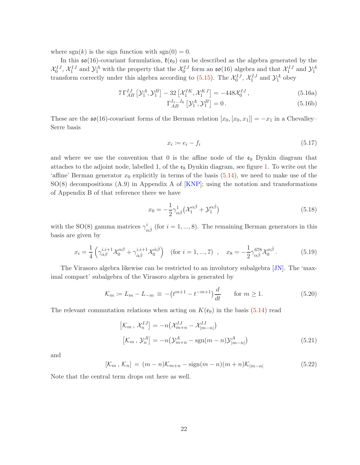where  $sgn(k)$  is the sign function with  $sgn(0) = 0$ .

In this  $\mathfrak{so}(16)$ -covariant formulation,  $\mathfrak{k}(\mathfrak{e}_9)$  can be described as the algebra generated by the  $\mathcal{X}_0^{IJ}$ ,  $\mathcal{X}_1^{IJ}$  and  $\mathcal{Y}_1^A$  with the property that the  $\mathcal{X}_0^{IJ}$  form an  $\mathfrak{so}(16)$  algebra and that  $\mathcal{X}_1^{IJ}$  and  $\mathcal{Y}_1^A$ transform correctly under this algebra according to [\(5.15\)](#page-21-1). The  $\mathcal{X}_0^{IJ}$ ,  $\mathcal{X}_1^{IJ}$  and  $\mathcal{Y}_1^A$  obey

$$
7\,\Gamma_{AB}^{IJ}\left[\mathcal{Y}_1^A,\mathcal{Y}_1^B\right] - 32\left[\mathcal{X}_1^{IK},\mathcal{X}_1^{KJ}\right] = -448\mathcal{X}_0^{IJ}\,,\tag{5.16a}
$$

<span id="page-22-0"></span>
$$
\Gamma_{AB}^{I_1...I_6} \left[ \mathcal{Y}_1^A, \mathcal{Y}_1^B \right] = 0. \tag{5.16b}
$$

These are the  $\mathfrak{so}(16)$ -covariant forms of the Berman relation  $[x_0, [x_0, x_1]] = -x_1$  in a Chevalley– Serre basis

$$
x_i \coloneqq e_i - f_i \tag{5.17}
$$

and where we use the convention that 0 is the affine node of the  $\mathfrak{e}_9$  Dynkin diagram that attaches to the adjoint node, labelled 1, of the  $\mathfrak{e}_8$  Dynkin diagram, see figure [1.](#page-19-3) To write out the 'affine' Berman generator  $x_0$  explicitly in terms of the basis  $(5.14)$ , we need to make use of the  $SO(8)$  decompositions  $(A.9)$  in Appendix A of  $[KNP]$ ; using the notation and transformations of Appendix B of that reference there we have

$$
x_0 = -\frac{1}{2}\gamma^1_{\alpha\dot{\beta}}\left(\mathcal{X}_1^{\alpha\dot{\beta}} + \mathcal{Y}_1^{\alpha\dot{\beta}}\right) \tag{5.18}
$$

with the SO(8) gamma matrices  $\gamma_{\alpha\dot{\beta}}^i$  (for  $i = 1, ..., 8$ ). The remaining Berman generators in this basis are given by

$$
x_i = \frac{1}{4} \left( \gamma_{\alpha\beta}^{i,i+1} \mathcal{X}_0^{\alpha\beta} + \gamma_{\dot{\alpha}\dot{\beta}}^{i,i+1} \mathcal{X}_0^{\dot{\alpha}\dot{\beta}} \right) \quad \text{(for } i = 1, ..., 7), \quad x_8 = -\frac{1}{2} \gamma_{\alpha\dot{\beta}}^{678} \mathcal{X}_0^{\alpha\dot{\beta}} \,. \tag{5.19}
$$

The Virasoro algebra likewise can be restricted to an involutory subalgebra [\[JN\]](#page-35-15). The 'maximal compact' subalgebra of the Virasoro algebra is generated by

<span id="page-22-1"></span>
$$
\mathcal{K}_m := L_m - L_{-m} \equiv -(t^{m+1} - t^{-m+1})\frac{d}{dt} \quad \text{for } m \ge 1.
$$
 (5.20)

The relevant commutation relations when acting on  $K(\mathfrak{e}_9)$  in the basis [\(5.14\)](#page-21-0) read

$$
[\mathcal{K}_m, \mathcal{X}_n^{IJ}] = -n(\mathcal{X}_{m+n}^{IJ} - \mathcal{X}_{|m-n|}^{IJ})
$$
  

$$
[\mathcal{K}_m, \mathcal{Y}_n^A] = -n(\mathcal{Y}_{m+n}^A - \text{sgn}(m-n)\mathcal{Y}_{|m-n|}^A)
$$
 (5.21)

and

$$
[\mathcal{K}_m, \mathcal{K}_n] = (m-n)\mathcal{K}_{m+n} - \text{sign}(m-n)(m+n)\mathcal{K}_{|m-n|}
$$
(5.22)

Note that the central term drops out here as well.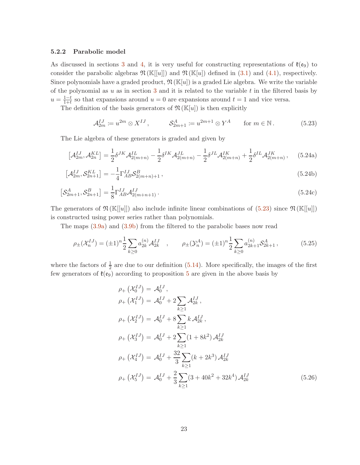#### 5.2.2 Parabolic model

As discussed in sections [3](#page-6-0) and [4,](#page-15-0) it is very useful for constructing representations of  $\mathfrak{k}(e_9)$  to consider the parabolic algebras  $\mathfrak{N}(\mathbb{K}[u])$  and  $\mathfrak{N}(\mathbb{K}[u])$  defined in [\(3.1\)](#page-6-1) and [\(4.1\)](#page-15-1), respectively. Since polynomials have a graded product,  $\mathfrak{N}(\mathbb{K}[u])$  is a graded Lie algebra. We write the variable of the polynomial as u as in section [3](#page-6-0) and it is related to the variable t in the filtered basis by  $u=\frac{1-t}{1+t}$  $\frac{1-t}{1+t}$  so that expansions around  $u = 0$  are expansions around  $t = 1$  and vice versa.

The definition of the basis generators of  $\mathfrak{N}(\mathbb{K}[u])$  is then explicitly

<span id="page-23-1"></span><span id="page-23-0"></span>
$$
\mathcal{A}_{2m}^{IJ} \coloneqq u^{2m} \otimes X^{IJ}, \qquad \mathcal{S}_{2m+1}^A \coloneqq u^{2m+1} \otimes Y^A \qquad \text{for } m \in \mathbb{N}. \tag{5.23}
$$

The Lie algebra of these generators is graded and given by

$$
\left[\mathcal{A}_{2m}^{IJ}, \mathcal{A}_{2n}^{KL}\right] = \frac{1}{2} \delta^{JK} \mathcal{A}_{2(m+n)}^{IL} - \frac{1}{2} \delta^{IK} \mathcal{A}_{2(m+n)}^{JL} - \frac{1}{2} \delta^{JL} \mathcal{A}_{2(m+n)}^{IK} + \frac{1}{2} \delta^{IL} \mathcal{A}_{2(m+n)}^{JK},\tag{5.24a}
$$

$$
\left[\mathcal{A}_{2m}^{IJ}, \mathcal{S}_{2n+1}^{KL}\right] = -\frac{1}{4} \Gamma_{AB}^{IJ} \mathcal{S}_{2(m+n)+1}^{B} ,\qquad(5.24b)
$$

$$
\left[\mathcal{S}_{2m+1}^{A}, \mathcal{S}_{2n+1}^{B}\right] = \frac{1}{8} \Gamma_{AB}^{IJ} \mathcal{A}_{2(m+n+1)}^{IJ}.
$$
\n(5.24c)

The generators of  $\mathfrak{N}(\mathbb{K}[[u]])$  also include infinite linear combinations of  $(5.23)$  since  $\mathfrak{N}(\mathbb{K}[[u]])$ is constructed using power series rather than polynomials.

The maps [\(3.9a\)](#page-8-1) and [\(3.9b\)](#page-8-3) from the filtered to the parabolic bases now read

$$
\rho_{\pm}(\mathcal{X}_n^{IJ}) = (\pm 1)^n \frac{1}{2} \sum_{k \ge 0} a_{2k}^{(n)} \mathcal{A}_{2k}^{IJ} \quad , \qquad \rho_{\pm}(\mathcal{Y}_n^A) = (\pm 1)^n \frac{1}{2} \sum_{k \ge 0} a_{2k+1}^{(n)} \mathcal{S}_{2k+1}^A \,, \tag{5.25}
$$

where the factors of  $\frac{1}{2}$  are due to our definition [\(5.14\)](#page-21-0). More specifically, the images of the first few generators of  $\mathfrak{k}(\mathfrak{e}_9)$  according to proposition [5](#page-8-2) are given in the above basis by

<span id="page-23-2"></span>
$$
\rho_{+}(\mathcal{X}_{0}^{IJ}) = \mathcal{A}_{0}^{IJ},
$$
\n
$$
\rho_{+}(\mathcal{X}_{1}^{IJ}) = \mathcal{A}_{0}^{IJ} + 2 \sum_{k \geq 1} \mathcal{A}_{2k}^{IJ},
$$
\n
$$
\rho_{+}(\mathcal{X}_{2}^{IJ}) = \mathcal{A}_{0}^{IJ} + 8 \sum_{k \geq 1} k \mathcal{A}_{2k}^{IJ},
$$
\n
$$
\rho_{+}(\mathcal{X}_{3}^{IJ}) = \mathcal{A}_{0}^{IJ} + 2 \sum_{k \geq 1} (1 + 8k^{2}) \mathcal{A}_{2k}^{IJ}
$$
\n
$$
\rho_{+}(\mathcal{X}_{4}^{IJ}) = \mathcal{A}_{0}^{IJ} + \frac{32}{3} \sum_{k \geq 1} (k + 2k^{3}) \mathcal{A}_{2k}^{IJ}
$$
\n
$$
\rho_{+}(\mathcal{X}_{5}^{IJ}) = \mathcal{A}_{0}^{IJ} + \frac{2}{3} \sum_{k \geq 1} (3 + 40k^{2} + 32k^{4}) \mathcal{A}_{2k}^{IJ}
$$
\n(5.26)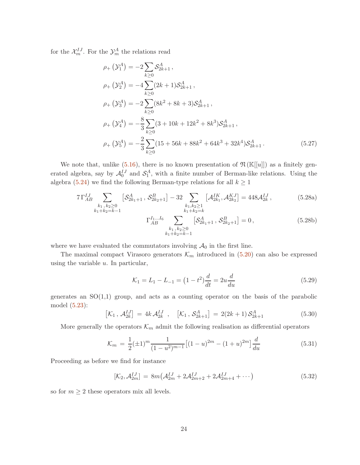for the  $\mathcal{X}_m^{IJ}$ . For the  $\mathcal{Y}_m^A$  the relations read

$$
\rho_{+}(\mathcal{Y}_{1}^{A}) = -2 \sum_{k \geq 0} \mathcal{S}_{2k+1}^{A},
$$
\n
$$
\rho_{+}(\mathcal{Y}_{2}^{A}) = -4 \sum_{k \geq 0} (2k+1) \mathcal{S}_{2k+1}^{A},
$$
\n
$$
\rho_{+}(\mathcal{Y}_{3}^{A}) = -2 \sum_{k \geq 0} (8k^{2} + 8k + 3) \mathcal{S}_{2k+1}^{A},
$$
\n
$$
\rho_{+}(\mathcal{Y}_{4}^{A}) = -\frac{8}{3} \sum_{k \geq 0} (3 + 10k + 12k^{2} + 8k^{3}) \mathcal{S}_{2k+1}^{A},
$$
\n
$$
\rho_{+}(\mathcal{Y}_{5}^{A}) = -\frac{2}{3} \sum_{k \geq 0} (15 + 56k + 88k^{2} + 64k^{3} + 32k^{4}) \mathcal{S}_{2k+1}^{A}.
$$
\n(5.27)

We note that, unlike  $(5.16)$ , there is no known presentation of  $\mathfrak{N}(\mathbb{K}[[u]])$  as a finitely generated algebra, say by  $\mathcal{A}_0^{IJ}$  and  $\mathcal{S}_1^A$ , with a finite number of Berman-like relations. Using the algebra [\(5.24\)](#page-23-1) we find the following Berman-type relations for all  $k \ge 1$ 

$$
7\Gamma_{AB}^{IJ}\sum_{\substack{k_1,k_2\geq 0\\k_1+k_2=k-1}}\left[ \mathcal{S}_{2k_1+1}^A \, , \, \mathcal{S}_{2k_2+1}^B \right] - 32 \sum_{\substack{k_1,k_2\geq 1\\k_1+k_2=k}}\left[ \mathcal{A}_{2k_1}^{IK}, \mathcal{A}_{2k_2}^{KJ} \right] = 448 \mathcal{A}_{2k}^{IJ},\tag{5.28a}
$$
\n
$$
\Gamma_{AB}^{I_1...I_6}\sum_{\substack{k_1,k_2\geq 0\\k_1,k_2\geq 0}}\left[ \mathcal{S}_{2k_1+1}^A \, , \, \mathcal{S}_{2k_2+1}^B \right] = 0,\tag{5.28b}
$$

$$
k_1 + k_2 = k - 1
$$
 where we have evaluated the commutators involving  $\mathcal{A}_0$  in the first line.

The maximal compact Virasoro generators  $\mathcal{K}_m$  introduced in [\(5.20\)](#page-22-1) can also be expressed using the variable  $u$ . In particular,

$$
\mathcal{K}_1 = L_1 - L_{-1} = \left(1 - t^2\right) \frac{d}{dt} = 2u \frac{d}{du} \tag{5.29}
$$

generates an  $SO(1,1)$  group, and acts as a counting operator on the basis of the parabolic model [\(5.23\)](#page-23-0):

$$
[\mathcal{K}_1, \mathcal{A}_{2k}^{IJ}] = 4k \mathcal{A}_{2k}^{IJ}, \quad [\mathcal{K}_1, \mathcal{S}_{2k+1}^A] = 2(2k+1) \mathcal{S}_{2k+1}^A \tag{5.30}
$$

More generally the operators  $\mathcal{K}_m$  admit the following realisation as differential operators

$$
\mathcal{K}_m = \frac{1}{2} (\pm 1)^m \frac{1}{(1 - u^2)^{m-1}} \left[ (1 - u)^{2m} - (1 + u)^{2m} \right] \frac{d}{du} \tag{5.31}
$$

Proceeding as before we find for instance

$$
[\mathcal{K}_2, \mathcal{A}_{2m}^{IJ}] = 8m\left(\mathcal{A}_{2m}^{IJ} + 2\mathcal{A}_{2m+2}^{IJ} + 2\mathcal{A}_{2m+4}^{IJ} + \cdots\right)
$$
(5.32)

so for  $m \geq 2$  these operators mix all levels.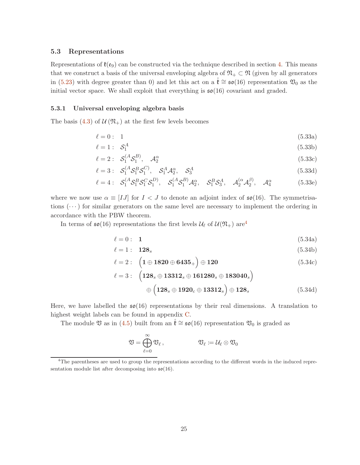#### 5.3 Representations

Representations of  $\mathfrak{k}(e_9)$  can be constructed via the technique described in section [4.](#page-15-0) This means that we construct a basis of the universal enveloping algebra of  $\mathfrak{N}_+ \subset \mathfrak{N}$  (given by all generators in [\(5.23\)](#page-23-0) with degree greater than 0) and let this act on a  $\mathfrak{k} \cong \mathfrak{so}(16)$  representation  $\mathfrak{V}_0$  as the initial vector space. We shall exploit that everything is  $\mathfrak{so}(16)$  covariant and graded.

#### 5.3.1 Universal enveloping algebra basis

The basis [\(4.3\)](#page-15-2) of  $\mathcal{U}(\mathfrak{N}_{+})$  at the first few levels becomes

$$
\ell = 0: \quad 1 \tag{5.33a}
$$

$$
\ell = 1: \quad \mathcal{S}_1^A \tag{5.33b}
$$

$$
\ell = 2: \quad \mathcal{S}_1^{(A}\mathcal{S}_1^{B)}, \quad \mathcal{A}_2^{\alpha} \tag{5.33c}
$$

$$
\ell = 3: \quad \mathcal{S}_1^{(A} \mathcal{S}_1^{B} \mathcal{S}_1^{C)}, \quad \mathcal{S}_1^{A} \mathcal{A}_2^{\alpha}, \quad \mathcal{S}_3^{A} \tag{5.33d}
$$

$$
\ell = 4: \quad \mathcal{S}_1^{(A} \mathcal{S}_1^B \mathcal{S}_1^C \mathcal{S}_1^D, \quad \mathcal{S}_1^{(A} \mathcal{S}_1^B) \mathcal{A}_2^{\alpha}, \quad \mathcal{S}_1^B \mathcal{S}_3^A, \quad \mathcal{A}_2^{(\alpha} \mathcal{A}_2^{\beta)}, \quad \mathcal{A}_4^{\alpha} \tag{5.33e}
$$

where we now use  $\alpha \equiv [IJ]$  for  $I < J$  to denote an adjoint index of  $\mathfrak{so}(16)$ . The symmetrisations  $(\cdots)$  for similar generators on the same level are necessary to implement the ordering in accordance with the PBW theorem.

In terms of  $\mathfrak{so}(16)$  representations the first levels  $\mathcal{U}_{\ell}$  of  $\mathcal{U}(\mathfrak{N}_{+})$  are<sup>[4](#page-25-0)</sup>

$$
\ell = 0: \quad 1 \tag{5.34a}
$$

$$
\ell = 1: \quad \mathbf{128}_s \tag{5.34b}
$$

$$
\ell = 2: \quad \left(1 \oplus 1820 \oplus 6435_{+}\right) \oplus 120 \tag{5.34c}
$$

$$
\ell = 3: \quad \left(128_s \oplus 13312_s \oplus 161280_s \oplus 183040_s\right) \\
\oplus \left(128_s \oplus 1920_c \oplus 13312_s\right) \oplus 128_s \tag{5.34d}
$$

Here, we have labelled the  $\mathfrak{so}(16)$  representations by their real dimensions. A translation to highest weight labels can be found in appendix [C.](#page-34-0)

The module  $\mathfrak V$  as in [\(4.5\)](#page-16-0) built from an  $\mathfrak k \cong \mathfrak{so}(16)$  representation  $\mathfrak V_0$  is graded as

$$
\mathfrak V = \bigoplus_{\ell=0}^\infty \mathfrak V_\ell \,, \qquad \qquad \mathfrak V_\ell \coloneqq \mathcal U_\ell \otimes \mathfrak V_0
$$

<span id="page-25-0"></span><sup>&</sup>lt;sup>4</sup>The parentheses are used to group the representations according to the different words in the induced representation module list after decomposing into  $\mathfrak{so}(16)$ .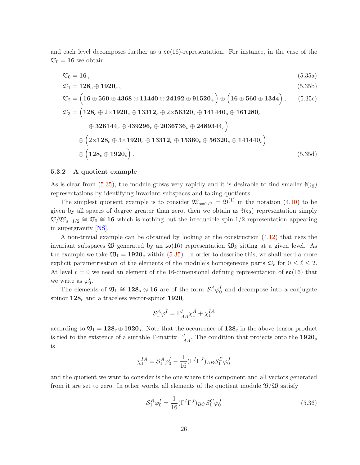and each level decomposes further as a  $\mathfrak{so}(16)$ -representation. For instance, in the case of the  $\mathfrak{V}_0 = 16$  we obtain

<span id="page-26-0"></span>
$$
\mathfrak{V}_0 = \mathbf{16},\tag{5.35a}
$$
\n
$$
\mathfrak{V}_1 = \mathbf{128}_c \oplus \mathbf{1920}_s,\tag{5.35b}
$$

<span id="page-26-1"></span>
$$
\mathfrak{V}_2 = \left(16 \oplus 560 \oplus 4368 \oplus 11440 \oplus 24192 \oplus 91520_+\right) \oplus \left(16 \oplus 560 \oplus 1344\right), \qquad (5.35c)
$$
  
\n
$$
\mathfrak{V}_3 = \left(128_c \oplus 2 \times 1920_s \oplus 13312_c \oplus 2 \times 56320_s \oplus 141440_s \oplus 161280_c
$$
  
\n
$$
\oplus 326144_s \oplus 439296_c \oplus 2036736_s \oplus 2489344_s\right)
$$
  
\n
$$
\oplus \left(2 \times 128_c \oplus 3 \times 1920_s \oplus 13312_c \oplus 15360_c \oplus 56320_s \oplus 141440_s\right)
$$
  
\n
$$
\oplus \left(128_c \oplus 1920_s\right).
$$
  
\n(5.35d)

#### 5.3.2 A quotient example

As is clear from [\(5.35\)](#page-26-0), the module grows very rapidly and it is desirable to find smaller  $\mathfrak{k}(\mathfrak{e}_9)$ representations by identifying invariant subspaces and taking quotients.

The simplest quotient example is to consider  $\mathfrak{W}_{s=1/2} = \mathfrak{V}^{(1)}$  in the notation [\(4.10\)](#page-17-1) to be given by all spaces of degree greater than zero, then we obtain as  $\mathfrak{k}(e_9)$  representation simply  $\mathfrak{V}/\mathfrak{W}_{s=1/2} \cong \mathfrak{V}_0 \cong 16$  which is nothing but the irreducible spin-1/2 representation appearing in supergravity [\[NS\]](#page-36-3).

A non-trivial example can be obtained by looking at the construction [\(4.12\)](#page-18-0) that uses the invariant subspaces  $\mathfrak W$  generated by an  $\mathfrak{so}(16)$  representation  $\mathfrak W_k$  sitting at a given level. As the example we take  $\mathfrak{W}_1 = 1920_s$  within [\(5.35\)](#page-26-0). In order to describe this, we shall need a more explicit parametrisation of the elements of the module's homogeneous parts  $\mathfrak{V}_{\ell}$  for  $0 \leq \ell \leq 2$ . At level  $\ell = 0$  we need an element of the 16-dimensional defining representation of  $\mathfrak{so}(16)$  that we write as  $\varphi_0^I$ .

The elements of  $\mathfrak{V}_1 \cong 128_s \otimes 16$  are of the form  $\mathcal{S}_1^A \varphi_0^I$  and decompose into a conjugate spinor  $128<sub>c</sub>$  and a traceless vector-spinor  $1920<sub>s</sub>$ 

$$
\mathcal{S}_1^A \varphi^I = \Gamma_{A\dot A}^I \chi_1^{\dot A} + \chi_1^{IA}
$$

according to  $\mathfrak{V}_1 = 128_c \oplus 1920_s$ . Note that the occurrence of  $128_c$  in the above tensor product is tied to the existence of a suitable Γ-matrix  $\Gamma_{A\dot{A}}^{I}$ . The condition that projects onto the  $1920_s$ is

$$
\chi_1^{IA} = \mathcal{S}_1^A \varphi_0^I - \frac{1}{16} (\Gamma^I \Gamma^J)_{AB} \mathcal{S}_1^B \varphi_0^J
$$

and the quotient we want to consider is the one where this component and all vectors generated from it are set to zero. In other words, all elements of the quotient module  $\mathfrak{V}/\mathfrak{W}$  satisfy

<span id="page-26-2"></span>
$$
\mathcal{S}_1^B \varphi_0^I = \frac{1}{16} (\Gamma^I \Gamma^J)_{BC} \mathcal{S}_1^C \varphi_0^J \tag{5.36}
$$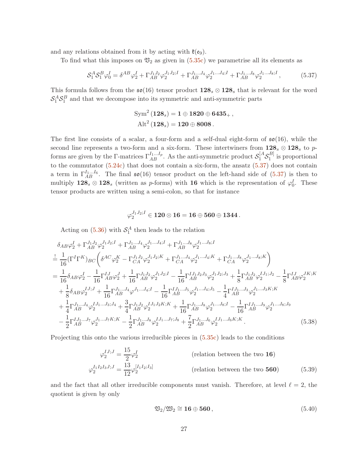and any relations obtained from it by acting with  $\mathfrak{k}(\mathfrak{e}_9)$ .

To find what this imposes on  $\mathfrak{V}_2$  as given in  $(5.35c)$  we parametrise all its elements as

$$
\mathcal{S}_1^A \mathcal{S}_1^B \varphi_0^I = \delta^{AB} \varphi_2^I + \Gamma_{AB}^{J_1 J_2} \varphi_2^{J_1 J_2;I} + \Gamma_{AB}^{J_1 \dots J_4} \varphi_2^{J_1 \dots J_4;I} + \Gamma_{AB}^{J_1 \dots J_8} \varphi_2^{J_1 \dots J_8;I},\tag{5.37}
$$

This formula follows from the  $\mathfrak{so}(16)$  tensor product  $128_s \otimes 128_s$  that is relevant for the word  $S_1^A S_1^B$  and that we decompose into its symmetric and anti-symmetric parts

<span id="page-27-0"></span>
$$
\begin{aligned} \text{Sym}^2\left(128_s\right)&=1\oplus 1820\oplus 6435_+\,,\\ \text{Alt}^2\left(128_s\right)&=120\oplus 8008\,. \end{aligned}
$$

The first line consists of a scalar, a four-form and a self-dual eight-form of  $\mathfrak{so}(16)$ , while the second line represents a two-form and a six-form. These intertwiners from  $128_s \otimes 128_s$  to pforms are given by the  $\Gamma$ -matrices  $\Gamma_{AB}^{I_1...I_p}$ . As the anti-symmetric product  $\mathcal{S}_1^{[A}\mathcal{S}_1^{B]}$  $i<sub>1</sub><sup>[D]</sup>$  is proportional to the commutator [\(5.24c\)](#page-23-2) that does not contain a six-form, the ansatz [\(5.37\)](#page-27-0) does not contain a term in  $\Gamma_{AB}^{I_1...I_6}$ . The final  $\mathfrak{so}(16)$  tensor product on the left-hand side of  $(5.37)$  is then to multiply  $128_s \otimes 128_s$  (written as p-forms) with 16 which is the representation of  $\varphi_0^I$ . These tensor products are written using a semi-colon, so that for instance

$$
\varphi_2^{J_1J_2;I} \in {\bf 120}\otimes {\bf 16} = {\bf 16}\oplus {\bf 560}\oplus {\bf 1344}\,.
$$

Acting on  $(5.36)$  with  $S_1^A$  then leads to the relation

$$
\delta_{AB}\varphi_{2}^{I} + \Gamma_{AB}^{J_{1}J_{2}}\varphi_{2}^{J_{1}J_{2};I} + \Gamma_{AB}^{J_{1}...J_{4}}\varphi_{2}^{J_{1}...J_{4};I} + \Gamma_{AB}^{J_{1}...J_{8}}\varphi_{2}^{J_{1}...J_{8};I}
$$
\n
$$
\frac{1}{16}(\Gamma^{I}\Gamma^{K})_{BC} \bigg(\delta^{AC}\varphi_{2}^{K} - \Gamma_{CA}^{J_{1}J_{2}}\varphi_{2}^{J_{1}J_{2};K} + \Gamma_{CA}^{J_{1}...J_{4}}\varphi_{2}^{J_{1}...J_{4};K} + \Gamma_{CA}^{J_{1}...J_{8}}\varphi_{2}^{J_{1}...J_{8};K}\bigg)
$$
\n
$$
= \frac{1}{16}\delta_{AB}\varphi_{2}^{I} - \frac{1}{16}\Gamma_{AB}^{IJ}\varphi_{2}^{J} + \frac{1}{16}\Gamma_{AB}^{J_{1}J_{2}}\varphi_{2}^{J_{1}J_{2};I} - \frac{1}{16}\Gamma_{AB}^{IJ_{1}J_{2}J_{3}}\varphi_{2}^{J_{1}J_{2};J_{3}} + \frac{1}{8}\Gamma_{AB}^{J_{1}J_{2}}\varphi_{2}^{J_{1}J_{1};J_{2}} - \frac{1}{8}\Gamma_{AB}^{IJ}\varphi_{2}^{JK;K}
$$
\n
$$
+ \frac{1}{8}\delta_{AB}\varphi_{2}^{IJ} + \frac{1}{16}\Gamma_{AB}^{J_{1}...J_{4}}\varphi_{J_{1}...J_{4};I} - \frac{1}{16}\Gamma_{AB}^{IJ_{1}...J_{5}}\varphi_{2}^{J_{1}...J_{4};J_{5}} - \frac{1}{4}\Gamma_{AB}^{IJ_{1}...J_{3}}\varphi_{2}^{J_{1}...J_{3};K;K}
$$
\n
$$
+ \frac{1}{4}\Gamma_{AB}^{J_{1}...J_{4}}\varphi_{2}^{IJ_{1}...J_{3};J_{4}} + \frac{3}{4}\Gamma_{AB}^{J_{1}J_{2}}\varphi_{2}^{IJ_{1}J_{2}K;K} + \frac{1}{16}\Gamma_{AB}^{J_{1}...J_{8}}\varphi_{2}^{J_{1}...J_{8};I} - \frac{1}{16}\Gamma_{AB}
$$

Projecting this onto the various irreducible pieces in [\(5.35c\)](#page-26-1) leads to the conditions

$$
\varphi_2^{IJ;J} = \frac{15}{2} \varphi_2^I
$$
 (relation between the two **16**)  

$$
\varphi_2^{I_1 I_2 I_3 J;J} = \frac{13}{12} \varphi_2^{[I_1 I_2;I_3]}
$$
 (relation between the two **560**) (5.39)

and the fact that all other irreducible components must vanish. Therefore, at level  $\ell = 2$ , the quotient is given by only

<span id="page-27-1"></span>
$$
\mathfrak{V}_2/\mathfrak{W}_2 \cong \mathbf{16} \oplus \mathbf{560},\tag{5.40}
$$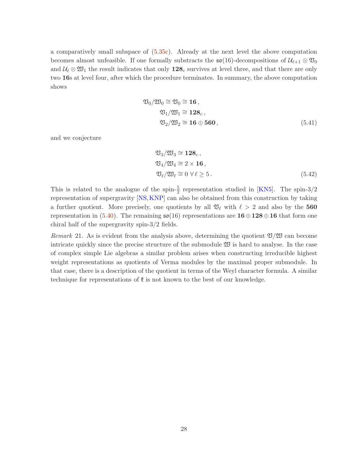a comparatively small subspace of [\(5.35c\)](#page-26-1). Already at the next level the above computation becomes almost unfeasible. If one formally substracts the  $\mathfrak{so}(16)$ -decompositions of  $\mathcal{U}_{\ell+1} \otimes \mathfrak{V}_0$ and  $\mathcal{U}_{\ell} \otimes \mathfrak{W}_1$  the result indicates that only  $128_c$  survives at level three, and that there are only two 16s at level four, after which the procedure terminates. In summary, the above computation shows

$$
\mathfrak{V}_0 / \mathfrak{W}_0 \cong \mathfrak{V}_0 \cong \mathbf{16},
$$
  
\n
$$
\mathfrak{V}_1 / \mathfrak{W}_1 \cong \mathbf{128}_c,
$$
  
\n
$$
\mathfrak{V}_2 / \mathfrak{W}_2 \cong \mathbf{16} \oplus \mathbf{560},
$$
  
\n(5.41)

and we conjecture

$$
\mathfrak{V}_3/\mathfrak{W}_3 \cong \mathbf{128}_c, \n\mathfrak{V}_4/\mathfrak{W}_4 \cong 2 \times \mathbf{16}, \n\mathfrak{V}_\ell/\mathfrak{W}_\ell \cong 0 \ \forall \ell \ge 5.
$$
\n(5.42)

This is related to the analogue of the spin- $\frac{5}{2}$  representation studied in [\[KN5\]](#page-36-6). The spin-3/2 representation of supergravity [\[NS,](#page-36-3)[KNP\]](#page-36-15) can also be obtained from this construction by taking a further quotient. More precisely, one quotients by all  $\mathfrak{V}_{\ell}$  with  $\ell > 2$  and also by the 560 representation in [\(5.40\)](#page-27-1). The remaining  $\mathfrak{so}(16)$  representations are  $16 \oplus 128 \oplus 16$  that form one chiral half of the supergravity spin-3/2 fields.

Remark 21. As is evident from the analysis above, determining the quotient  $\mathfrak{V}/\mathfrak{W}$  can become intricate quickly since the precise structure of the submodule W is hard to analyse. In the case of complex simple Lie algebras a similar problem arises when constructing irreducible highest weight representations as quotients of Verma modules by the maximal proper submodule. In that case, there is a description of the quotient in terms of the Weyl character formula. A similar technique for representations of  $\mathfrak k$  is not known to the best of our knowledge.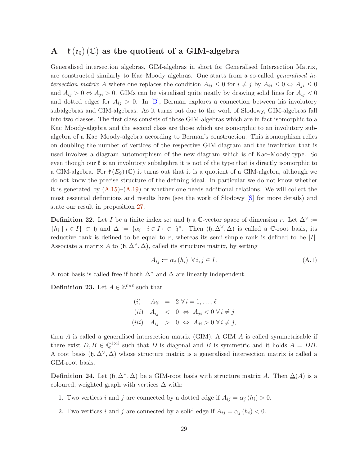# <span id="page-29-0"></span>A  $\ell(\mathfrak{e}_{9})$  (C) as the quotient of a GIM-algebra

Generalised intersection algebras, GIM-algebras in short for Generalised Intersection Matrix, are constructed similarly to Kac–Moody algebras. One starts from a so-called generalised intersection matrix A where one replaces the condition  $A_{ij} \leq 0$  for  $i \neq j$  by  $A_{ij} \leq 0 \Leftrightarrow A_{ji} \leq 0$ and  $A_{ij} > 0 \Leftrightarrow A_{ji} > 0$ . GIMs can be visualised quite neatly by drawing solid lines for  $A_{ij} < 0$ and dotted edges for  $A_{ij} > 0$ . In [\[B\]](#page-35-1), Berman explores a connection between his involutory subalgebras and GIM-algebras. As it turns out due to the work of Slodowy, GIM-algebras fall into two classes. The first class consists of those GIM-algebras which are in fact isomorphic to a Kac–Moody-algebra and the second class are those which are isomorphic to an involutory subalgebra of a Kac–Moody-algebra according to Berman's construction. This isomorphism relies on doubling the number of vertices of the respective GIM-diagram and the involution that is used involves a diagram automorphism of the new diagram which is of Kac–Moody-type. So even though our  $\mathfrak k$  is an involutory subalgebra it is not of the type that is directly isomorphic to a GIM-algebra. For  $\mathfrak{k}(E_9)(\mathbb{C})$  it turns out that it is a quotient of a GIM-algebra, although we do not know the precise structure of the defining ideal. In particular we do not know whether it is generated by  $(A.15)$ – $(A.19)$  or whether one needs additional relations. We will collect the most essential definitions and results here (see the work of Slodowy [\[S\]](#page-36-1) for more details) and state our result in proposition [27.](#page-32-1)

**Definition 22.** Let I be a finite index set and h a C-vector space of dimension r. Let  $\Delta^{\vee}$  :=  $\{h_i \mid i \in I\} \subset \mathfrak{h}$  and  $\Delta := \{\alpha_i \mid i \in I\} \subset \mathfrak{h}^*$ . Then  $(\mathfrak{h}, \Delta^{\vee}, \Delta)$  is called a C-root basis, its reductive rank is defined to be equal to r, whereas its semi-simple rank is defined to be  $|I|$ . Associate a matrix A to  $(\mathfrak{h}, \Delta^{\vee}, \Delta)$ , called its structure matrix, by setting

$$
A_{ij} \coloneqq \alpha_j \,(h_i) \ \ \forall \, i, j \in I. \tag{A.1}
$$

A root basis is called free if both  $\Delta^{\vee}$  and  $\Delta$  are linearly independent.

**Definition 23.** Let  $A \in \mathbb{Z}^{\ell \times \ell}$  such that

(i)  $A_{ii} = 2 \forall i = 1, \ldots, \ell$ (ii)  $A_{ij} < 0 \Leftrightarrow A_{ji} < 0 \forall i \neq j$ (iii)  $A_{ij} > 0 \Leftrightarrow A_{ji} > 0 \forall i \neq j$ ,

then  $A$  is called a generalised intersection matrix (GIM). A GIM  $A$  is called symmetrisable if there exist  $D, B \in \mathbb{Q}^{\ell \times \ell}$  such that D is diagonal and B is symmetric and it holds  $A = DB$ . A root basis  $(\mathfrak{h}, \Delta^{\vee}, \Delta)$  whose structure matrix is a generalised intersection matrix is called a GIM-root basis.

**Definition 24.** Let  $(\mathfrak{h}, \Delta^{\vee}, \Delta)$  be a GIM-root basis with structure matrix A. Then  $\Delta(A)$  is a coloured, weighted graph with vertices  $\Delta$  with:

- 1. Two vertices i and j are connected by a dotted edge if  $A_{ij} = \alpha_j (h_i) > 0$ .
- 2. Two vertices i and j are connected by a solid edge if  $A_{ij} = \alpha_j (h_i) < 0$ .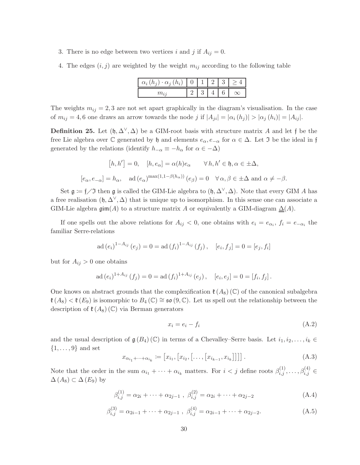- 3. There is no edge between two vertices i and j if  $A_{ij} = 0$ .
- 4. The edges  $(i, j)$  are weighted by the weight  $m_{ij}$  according to the following table

| $\alpha_i$<br>$\cdot \alpha_i$ ( $h_i$ )<br>$(h_{\alpha})$ |  |  |  |
|------------------------------------------------------------|--|--|--|
|                                                            |  |  |  |

The weights  $m_{ij} = 2, 3$  are not set apart graphically in the diagram's visualisation. In the case of  $m_{ij} = 4, 6$  one draws an arrow towards the node j if  $|A_{ji}| = |\alpha_i(h_i)| > |\alpha_j(h_i)| = |A_{ij}|$ .

<span id="page-30-0"></span>**Definition 25.** Let  $(\mathfrak{h}, \Delta^{\vee}, \Delta)$  be a GIM-root basis with structure matrix A and let f be the free Lie algebra over  $\mathbb C$  generated by  $\mathfrak h$  and elements  $e_\alpha, e_{-\alpha}$  for  $\alpha \in \Delta$ . Let  $\mathfrak I$  be the ideal in f generated by the relations (identify  $h_{-\alpha} \equiv -h_{\alpha}$  for  $\alpha \in -\Delta$ )

$$
[h, h'] = 0, \quad [h, e_{\alpha}] = \alpha(h)e_{\alpha} \qquad \forall h, h' \in \mathfrak{h}, \alpha \in \pm \Delta,
$$
  

$$
[e_{\alpha}, e_{-\alpha}] = h_{\alpha}, \quad \text{ad}(e_{\alpha})^{\max(1, 1 - \beta(h_{\alpha}))}(e_{\beta}) = 0 \quad \forall \alpha, \beta \in \pm \Delta \text{ and } \alpha \neq -\beta.
$$

Set  $\mathfrak{g} := \mathfrak{f} \diagup \mathfrak{I}$  then  $\mathfrak{g}$  is called the GIM-Lie algebra to  $(\mathfrak{h}, \Delta^{\vee}, \Delta)$ . Note that every GIM A has a free realisation  $(\mathfrak{h}, \Delta^{\vee}, \Delta)$  that is unique up to isomorphism. In this sense one can associate a GIM-Lie algebra  $\text{gim}(A)$  to a structure matrix A or equivalently a GIM-diagram  $\Delta(A)$ .

If one spells out the above relations for  $A_{ij} < 0$ , one obtains with  $e_i = e_{\alpha_i}$ ,  $f_i = e_{-\alpha_i}$  the familiar Serre-relations

$$
ad(e_i)^{1-A_{ij}}(e_j) = 0 = ad(f_i)^{1-A_{ij}}(f_j), \quad [e_i, f_j] = 0 = [e_j, f_i]
$$

but for  $A_{ij} > 0$  one obtains

$$
ad(e_i)^{1+A_{ij}}(f_j) = 0 = ad(f_i)^{1+A_{ij}}(e_j), \quad [e_i, e_j] = 0 = [f_i, f_j].
$$

One knows on abstract grounds that the complexification  $\mathfrak{k}(A_8)$  (C) of the canonical subalgebra  $\mathfrak{k}(A_8) < \mathfrak{k}(E_9)$  is isomorphic to  $B_4(\mathbb{C}) \cong \mathfrak{so}(9,\mathbb{C})$ . Let us spell out the relationship between the description of  $\mathfrak{k}(A_8)(\mathbb{C})$  via Berman generators

$$
x_i = e_i - f_i \tag{A.2}
$$

and the usual description of  $\mathfrak{g}(B_4)(\mathbb{C})$  in terms of a Chevalley–Serre basis. Let  $i_1, i_2, \ldots, i_k \in$  $\{1, \ldots, 9\}$  and set

$$
x_{\alpha_{i_1} + \dots + \alpha_{i_k}} := [x_{i_1}, [x_{i_2}, [ \dots, [x_{i_{k-1}}, x_{i_k}]]]]
$$
 (A.3)

Note that the order in the sum  $\alpha_{i_1} + \cdots + \alpha_{i_k}$  matters. For  $i < j$  define roots  $\beta_{i,j}^{(1)}, \ldots, \beta_{i,j}^{(4)} \in$  $\Delta(A_8) \subset \Delta(E_9)$  by

$$
\beta_{i,j}^{(1)} = \alpha_{2i} + \dots + \alpha_{2j-1} , \ \beta_{i,j}^{(2)} = \alpha_{2i} + \dots + \alpha_{2j-2}
$$
 (A.4)

$$
\beta_{i,j}^{(3)} = \alpha_{2i-1} + \dots + \alpha_{2j-1} , \ \beta_{i,j}^{(4)} = \alpha_{2i-1} + \dots + \alpha_{2j-2}.
$$
 (A.5)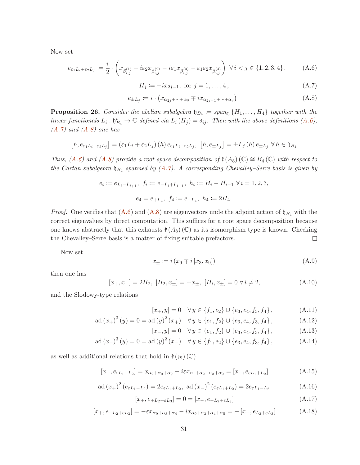Now set

<span id="page-31-1"></span>
$$
e_{\varepsilon_1 L_i + \varepsilon_2 L_j} := \frac{i}{2} \cdot \left( x_{\beta_{i,j}^{(1)}} - i\varepsilon_2 x_{\beta_{i,j}^{(2)}} - i\varepsilon_1 x_{\beta_{i,j}^{(3)}} - \varepsilon_1 \varepsilon_2 x_{\beta_{i,j}^{(4)}} \right) \ \forall \ i < j \in \{1, 2, 3, 4\},\tag{A.6}
$$

<span id="page-31-2"></span>
$$
H_j := -ix_{2j-1}, \text{ for } j = 1, \dots, 4,
$$
\n(A.7)

<span id="page-31-3"></span>
$$
e_{\pm L_j} := i \cdot \left( x_{\alpha_{2j} + \dots + \alpha_8} \mp i x_{\alpha_{2j-1} + \dots + \alpha_8} \right). \tag{A.8}
$$

**Proposition 26.** Consider the abelian subalgebra  $\mathfrak{h}_{B_4} \coloneqq span_{\mathbb{C}} \{H_1, \ldots, H_4\}$  together with the linear functionals  $L_i: \mathfrak{h}_{B_4}^* \to \mathbb{C}$  defined via  $L_i(H_j) = \delta_{ij}$ . Then with the above definitions  $(A.6)$ ,  $(A.7)$  and  $(A.8)$  one has

$$
[h, e_{\varepsilon_1 L_i + \varepsilon_2 L_j}] = (\varepsilon_1 L_i + \varepsilon_2 L_j) (h) e_{\varepsilon_1 L_i + \varepsilon_2 L_j}, [h, e_{\pm L_j}] = \pm L_j (h) e_{\pm L_j} \ \forall h \in \mathfrak{h}_{B_4}
$$

Thus, [\(A.6\)](#page-31-1) and [\(A.8\)](#page-31-3) provide a root space decomposition of  $\mathfrak{k}(A_8)(\mathbb{C}) \cong B_4(\mathbb{C})$  with respect to the Cartan subalgebra  $\mathfrak{h}_{B_4}$  spanned by  $(A.\gamma)$ . A corresponding Chevalley–Serre basis is given by

$$
e_i := e_{L_i - L_{i+1}}, \ f_i := e_{-L_i + L_{i+1}}, \ h_i := H_i - H_{i+1} \ \forall \ i = 1, 2, 3,
$$
  

$$
e_4 = e_{+L_4}, \ f_4 := e_{-L_4}, \ h_4 := 2H_4.
$$

*Proof.* One verifies that  $(A.6)$  and  $(A.8)$  are eigenvectors unde the adjoint action of  $\mathfrak{h}_{B_4}$  with the correct eigenvalues by direct computation. This suffices for a root space decomposition because one knows abstractly that this exhausts  $\mathfrak{k}(A_8)$  (C) as its isomorphism type is known. Checking the Chevalley–Serre basis is a matter of fixing suitable prefactors.  $\Box$ 

Now set

<span id="page-31-6"></span>
$$
x_{\pm} := i(x_9 \mp i[x_3, x_9])
$$
\n(A.9)

then one has

$$
[x_+, x_-] = 2H_2, [H_2, x_\pm] = \pm x_\pm, [H_i, x_\pm] = 0 \,\forall \, i \neq 2,
$$
\n(A.10)

and the Slodowy-type relations

<span id="page-31-4"></span>
$$
[x_+, y] = 0 \quad \forall y \in \{f_1, e_2\} \cup \{e_3, e_4, f_3, f_4\},\tag{A.11}
$$

$$
ad(x_{+})^{3}(y) = 0 = ad(y)^{2}(x_{+}) \quad \forall y \in \{e_{1}, f_{2}\} \cup \{e_{3}, e_{4}, f_{3}, f_{4}\}, \tag{A.12}
$$

<span id="page-31-5"></span>
$$
[x_-, y] = 0 \quad \forall y \in \{e_1, f_2\} \cup \{e_3, e_4, f_3, f_4\},\tag{A.13}
$$

$$
ad (x3)3 (y) = 0 = ad (y)2 (x3) \quad \forall y \in \{f_1, e_2\} \cup \{e_3, e_4, f_3, f_4\},
$$
 (A.14)

as well as additional relations that hold in  $\mathfrak{k}(\mathfrak{e}_9)$  (C)

<span id="page-31-0"></span>
$$
[x_+, e_{\varepsilon L_1 - L_2}] = x_{\alpha_2 + \alpha_3 + \alpha_9} - i\varepsilon x_{\alpha_1 + \alpha_2 + \alpha_3 + \alpha_9} = [x_-, e_{\varepsilon L_1 + L_2}]
$$
(A.15)

<span id="page-31-7"></span>
$$
ad (x_{+})^{2} (e_{\varepsilon L_{1} - L_{2}}) = 2e_{\varepsilon L_{1} + L_{2}}, \text{ ad} (x_{-})^{2} (e_{\varepsilon L_{1} + L_{2}}) = 2e_{\varepsilon L_{1} - L_{2}}
$$
(A.16)

$$
[x_{+}, e_{+L_2 + \varepsilon L_3}] = 0 = [x_{-}, e_{-L_2 + \varepsilon L_3}]
$$
\n(A.17)

$$
[x_+, e_{-L_2+\varepsilon L_3}] = -\varepsilon x_{\alpha_9+\alpha_3+\alpha_4} - ix_{\alpha_9+\alpha_3+\alpha_4+\alpha_5} = -[x_-, e_{L_2+\varepsilon L_3}] \tag{A.18}
$$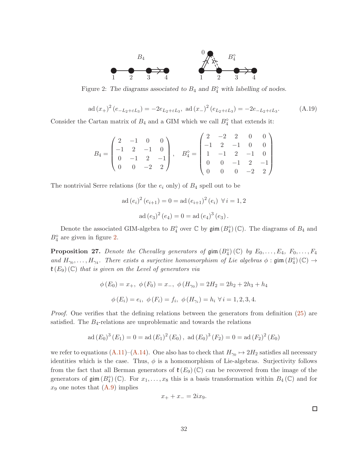

Figure 2: The diagrams associated to  $B_4$  and  $B_4^{\diamond}$  with labelling of nodes.

<span id="page-32-2"></span><span id="page-32-0"></span>
$$
ad(x_{+})^{2}(e_{-L_{2}+\varepsilon L_{3}}) = -2e_{L_{2}+\varepsilon L_{3}}, \ ad(x_{-})^{2}(e_{L_{2}+\varepsilon L_{3}}) = -2e_{-L_{2}+\varepsilon L_{3}}.
$$
 (A.19)

Consider the Cartan matrix of  $B_4$  and a GIM which we call  $B_4^{\diamond}$  that extends it:

$$
B_4=\begin{pmatrix}2&-1&0&0\\-1&2&-1&0\\0&-1&2&-1\\0&0&-2&2\end{pmatrix},\quad B_4^\diamond=\begin{pmatrix}2&-2&2&0&0\\-1&2&-1&0&0\\1&-1&2&-1&0\\0&0&-1&2&-1\\0&0&0&-2&2\end{pmatrix}
$$

The nontrivial Serre relations (for the  $e_i$  only) of  $B_4$  spell out to be

$$
ad(e_i)^2 (e_{i+1}) = 0 = ad(e_{i+1})^2 (e_i) \ \forall i = 1, 2
$$

$$
ad(e_3)^2 (e_4) = 0 = ad(e_4)^3 (e_3).
$$

Denote the associated GIM-algebra to  $B_4^{\diamond}$  over  $\mathbb C$  by  $\mathfrak{gim}(B_4^{\diamond}) (\mathbb C)$ . The diagrams of  $B_4$  and  $B_4^{\diamond}$  are given in figure [2.](#page-32-2)

<span id="page-32-1"></span>**Proposition 27.** Denote the Chevalley generators of  $\text{gim}(B_4^{\circ})$  (C) by  $E_0, \ldots, E_4, F_0, \ldots, F_4$ and  $H_{\gamma_0},\ldots,H_{\gamma_4}$ . There exists a surjective homomorphism of Lie algebras  $\phi$ : gim  $(B_4^{\circ})(\mathbb{C}) \to$  $\mathfrak{k}(E_9)$  (C) that is given on the Level of generators via

$$
\phi(E_0) = x_+, \ \phi(F_0) = x_-, \ \phi(H_{\gamma_0}) = 2H_2 = 2h_2 + 2h_3 + h_4
$$

$$
\phi(E_i) = e_i, \ \phi(F_i) = f_i, \ \phi(H_{\gamma_i}) = h_i \ \forall \ i = 1, 2, 3, 4.
$$

Proof. One verifies that the defining relations between the generators from definition [\(25\)](#page-30-0) are satisfied. The  $B_4$ -relations are unproblematic and towards the relations

$$
ad (E_0)^3 (E_1) = 0 = ad (E_1)^2 (E_0), ad (E_0)^3 (F_2) = 0 = ad (F_2)^2 (E_0)
$$

we refer to equations  $(A.11)$ – $(A.14)$ . One also has to check that  $H_{\gamma_0} \mapsto 2H_2$  satisfies all necessary identities which is the case. Thus,  $\phi$  is a homomorphism of Lie-algebras. Surjectivity follows from the fact that all Berman generators of  $\mathfrak{k}(E_9)(\mathbb{C})$  can be recovered from the image of the generators of  $\text{gim}(B_4^{\circ})(\mathbb{C})$ . For  $x_1,\ldots,x_8$  this is a basis transformation within  $B_4(\mathbb{C})$  and for  $x_9$  one notes that  $(A.9)$  implies

$$
x_+ + x_- = 2ix_9.
$$

 $\Box$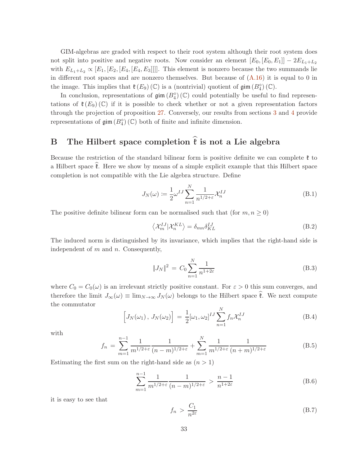GIM-algebras are graded with respect to their root system although their root system does not split into positive and negative roots. Now consider an element  $[E_0, [E_0, E_1]] - 2E_{L_1+L_2}$ with  $E_{L_1+L_2} \propto [E_1, [E_2, [E_4, [E_4, E_3]]]]$ . This element is nonzero because the two summands lie in different root spaces and are nonzero themselves. But because of  $(A.16)$  it is equal to 0 in the image. This implies that  $\mathfrak{k}(E_9)(\mathbb{C})$  is a (nontrivial) quotient of  $\mathfrak{gim}(B_4^{\diamond})(\mathbb{C})$ .

In conclusion, representations of  $\text{gim}(B_4^{\diamond})$  (C) could potentially be useful to find representations of  $\mathfrak{k}(E_9)$  (C) if it is possible to check whether or not a given representation factors through the projection of proposition [27.](#page-32-1) Conversely, our results from sections [3](#page-6-0) and [4](#page-15-0) provide representations of  $\mathfrak{gim}\left( B_4^{\diamond}\right) (\mathbb{C})$  both of finite and infinite dimension.

# <span id="page-33-0"></span>B The Hilbert space completion  $\hat{\mathfrak{k}}$  is not a Lie algebra

Because the restriction of the standard bilinear form is positive definite we can complete  $\mathfrak k$  to a Hilbert space  $\hat{\mathfrak{k}}$ . Here we show by means of a simple explicit example that this Hilbert space completion is not compatible with the Lie algebra structure. Define

$$
J_N(\omega) := \frac{1}{2} \omega^{IJ} \sum_{n=1}^N \frac{1}{n^{1/2 + \varepsilon}} \mathcal{X}_n^{IJ}
$$
(B.1)

The positive definite bilinear form can be normalised such that (for  $m, n \geq 0$ )

$$
\left\langle \mathcal{X}_{m}^{IJ} | \mathcal{X}_{n}^{KL} \right\rangle = \delta_{mn} \delta_{KL}^{IJ} \tag{B.2}
$$

The induced norm is distinguished by its invariance, which implies that the right-hand side is independent of  $m$  and  $n$ . Consequently,

$$
||J_N||^2 = C_0 \sum_{n=1}^{N} \frac{1}{n^{1+2\varepsilon}}
$$
(B.3)

where  $C_0 = C_0(\omega)$  is an irrelevant strictly positive constant. For  $\varepsilon > 0$  this sum converges, and therefore the limit  $J_{\infty}(\omega) \equiv \lim_{N \to \infty} J_N(\omega)$  belongs to the Hilbert space  $\mathfrak{k}$ . We next compute the commutator

<span id="page-33-1"></span>
$$
\[J_N(\omega_1), J_N(\omega_2)\] = \frac{1}{2} [\omega_1, \omega_2]^{IJ} \sum_{n=1}^N f_n \mathcal{X}_n^{IJ} \tag{B.4}
$$

with

$$
f_n = \sum_{m=1}^{n-1} \frac{1}{m^{1/2+\varepsilon}} \frac{1}{(n-m)^{1/2+\varepsilon}} + \sum_{m=1}^{N} \frac{1}{m^{1/2+\varepsilon}} \frac{1}{(n+m)^{1/2+\varepsilon}}
$$
(B.5)

Estimating the first sum on the right-hand side as  $(n > 1)$ 

$$
\sum_{m=1}^{n-1} \frac{1}{m^{1/2+\varepsilon}} \frac{1}{(n-m)^{1/2+\varepsilon}} > \frac{n-1}{n^{1+2\varepsilon}}
$$
(B.6)

it is easy to see that

$$
f_n > \frac{C_1}{n^{2\varepsilon}} \tag{B.7}
$$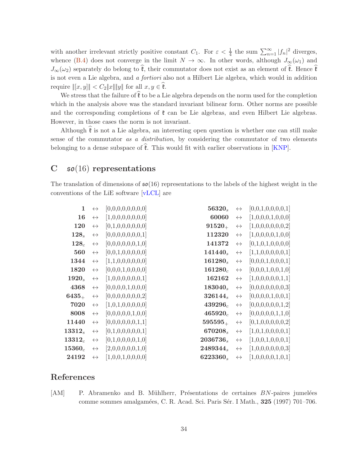with another irrelevant strictly positive constant  $C_1$ . For  $\varepsilon < \frac{1}{4}$  the sum  $\sum_{n=1}^{\infty} |f_n|^2$  diverges, whence [\(B.4\)](#page-33-1) does not converge in the limit  $N \to \infty$ . In other words, although  $J_{\infty}(\omega_1)$  and  $J_{\infty}(\omega_2)$  separately do belong to  $\hat{\mathfrak{k}}$ , their commutator does not exist as an element of  $\hat{\mathfrak{k}}$ . Hence  $\hat{\mathfrak{k}}$ is not even a Lie algebra, and a fortiori also not a Hilbert Lie algebra, which would in addition require  $\|[x,y]\| < C_2 \|x\| \|y\|$  for all  $x, y \in \mathfrak{k}$ .

We stress that the failure of  $\hat{\mathfrak{k}}$  to be a Lie algebra depends on the norm used for the completion which in the analysis above was the standard invariant bilinear form. Other norms are possible and the corresponding completions of  $\mathfrak k$  can be Lie algebras, and even Hilbert Lie algebras. However, in those cases the norm is not invariant.

Although  $\hat{\mathfrak{k}}$  is not a Lie algebra, an interesting open question is whether one can still make sense of the commutator as a distribution, by considering the commutator of two elements belonging to a dense subspace of  $\mathfrak{k}$ . This would fit with earlier observations in [\[KNP\]](#page-36-15).

# <span id="page-34-0"></span>C  $\mathfrak{so}(16)$  representations

The translation of dimensions of  $\mathfrak{so}(16)$  representations to the labels of the highest weight in the conventions of the LiE software [\[vLCL\]](#page-37-1) are

| $\mathbf{1}$ | $\leftrightarrow$ | [0,0,0,0,0,0,0,0] | $56320_s$   | $\leftrightarrow$ | [0,0,1,0,0,0,0,1] |
|--------------|-------------------|-------------------|-------------|-------------------|-------------------|
| 16           | $\leftrightarrow$ | [1,0,0,0,0,0,0,0] | 60060       | $\leftrightarrow$ | [1,0,0,0,1,0,0,0] |
| 120          | $\leftrightarrow$ | [0,1,0,0,0,0,0,0] | $91520_{+}$ | $\leftrightarrow$ | [1,0,0,0,0,0,0,2] |
| $128_s$      | $\leftrightarrow$ | [0,0,0,0,0,0,0,1] | 112320      | $\leftrightarrow$ | [1,0,0,0,0,1,0,0] |
| $128_c$      | $\leftrightarrow$ | [0,0,0,0,0,0,1,0] | 141372      | $\leftrightarrow$ | [0,1,0,1,0,0,0,0] |
| 560          | $\leftrightarrow$ | [0,0,1,0,0,0,0,0] | $141440_s$  | $\leftrightarrow$ | [1,1,0,0,0,0,0,1] |
| 1344         | $\leftrightarrow$ | [1,1,0,0,0,0,0,0] | $161280_s$  | $\leftrightarrow$ | [0,0,0,1,0,0,0,1] |
| 1820         | $\leftrightarrow$ | [0,0,0,1,0,0,0,0] | $161280_c$  | $\leftrightarrow$ | [0,0,0,1,0,0,1,0] |
| $1920_s$     | $\leftrightarrow$ | [1,0,0,0,0,0,0,1] | 162162      | $\leftrightarrow$ | [1,0,0,0,0,0,1,1] |
| 4368         | $\leftrightarrow$ | [0,0,0,0,1,0,0,0] | $183040_s$  | $\leftrightarrow$ | [0,0,0,0,0,0,0,3] |
| $6435_{+}$   | $\leftrightarrow$ | [0,0,0,0,0,0,0,2] | 326144,     | $\leftrightarrow$ | [0,0,0,0,1,0,0,1] |
| 7020         | $\leftrightarrow$ | [1,0,1,0,0,0,0,0] | $439296_c$  | $\leftrightarrow$ | [0,0,0,0,0,0,1,2] |
| 8008         | $\leftrightarrow$ | [0,0,0,0,0,1,0,0] | $465920_c$  | $\leftrightarrow$ | [0,0,0,0,0,1,1,0] |
| 11440        | $\leftrightarrow$ | [0,0,0,0,0,0,1,1] | $595595_+$  | $\leftrightarrow$ | [0,1,0,0,0,0,0,2] |
| $13312_s$    | $\leftrightarrow$ | [0,1,0,0,0,0,0,1] | 670208,     | $\leftrightarrow$ | [1,0,1,0,0,0,0,1] |
| $13312_c$    | $\leftrightarrow$ | [0,1,0,0,0,0,1,0] | $2036736_s$ | $\leftrightarrow$ | [1,0,0,1,0,0,0,1] |
| $15360_c$    | $\leftrightarrow$ | [2,0,0,0,0,0,1,0] | 2489344,    | $\leftrightarrow$ | [1,0,0,0,0,0,0,3] |
| 24192        | $\leftrightarrow$ | [1,0,0,1,0,0,0,0] | 6223360.    | $\leftrightarrow$ | [1,0,0,0,0,1,0,1] |

### References

<span id="page-34-1"></span>[AM] P. Abramenko and B. Mühlherr, Présentations de certaines BN-paires jumelées comme sommes amalgamées, C. R. Acad. Sci. Paris Sér. I Math., 325 (1997) 701–706.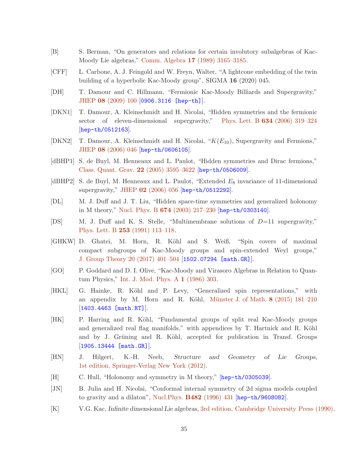- <span id="page-35-1"></span>[B] S. Berman, "On generators and relations for certain involutory subalgebras of Kac-Moody Lie algebras," Comm. Algebra 17 [\(1989\) 3165–3185.](http://dx.doi.org/https://doi.org/10.1080/00927878908823899)
- <span id="page-35-13"></span>[CFF] L. Carbone, A. J. Feingold and W. Freyn, Walter, "A lightcone embedding of the twin building of a hyperbolic Kac-Moody group", SIGMA 16 (2020) 045.
- <span id="page-35-6"></span>[DH] T. Damour and C. Hillmann, "Fermionic Kac-Moody Billiards and Supergravity," JHEP 08 [\(2009\) 100](http://dx.doi.org/doi:10.1088/1126-6708/2009/08/100) [[0906.3116 \[hep-th\]](http://arxiv.org/abs/0906.3116)].
- <span id="page-35-3"></span>[DKN1] T. Damour, A. Kleinschmidt and H. Nicolai, "Hidden symmetries and the fermionic sector of eleven-dimensional supergravity," Phys. Lett. B 634 [\(2006\) 319–324](http://dx.doi.org/doi:10.1016/j.physletb.2006.01.015) [[hep-th/0512163](http://arxiv.org/abs/hep-th/0512163)].
- <span id="page-35-5"></span>[DKN2] T. Damour, A. Kleinschmidt and H. Nicolai, " $K(E_{10})$ , Supergravity and Fermions," JHEP 08 [\(2006\) 046](http://dx.doi.org/doi:10.1088/1126-6708/2006/08/046) [[hep-th/0606105](http://arxiv.org/abs/hep-th/0606105)].
- <span id="page-35-2"></span>[dBHP1] S. de Buyl, M. Henneaux and L. Paulot, "Hidden symmetries and Dirac fermions," [Class. Quant. Grav.](http://dx.doi.org/doi:10.1088/0264-9381/22/17/018) 22 (2005) 3595–3622 [[hep-th/0506009](http://arxiv.org/abs/hep-th/0506009)].
- <span id="page-35-4"></span>[dBHP2] S. de Buyl, M. Henneaux and L. Paulot, "Extended  $E_8$  invariance of 11-dimensional supergravity," JHEP 02 [\(2006\) 056](http://dx.doi.org/doi:10.1088/1126-6708/2006/02/056) [[hep-th/0512292](http://arxiv.org/abs/hep-th/0512292)].
- <span id="page-35-8"></span>[DL] M. J. Duff and J. T. Liu, "Hidden space-time symmetries and generalized holonomy in M theory," Nucl. Phys. B 674 [\(2003\) 217–230](http://dx.doi.org/doi:10.1016/j.nuclphysb.2003.09.019) [[hep-th/0303140](http://arxiv.org/abs/hep-th/0303140)].
- <span id="page-35-7"></span>[DS] M. J. Duff and K. S. Stelle, "Multimembrane solutions of D=11 supergravity," Phys. Lett. B 253 [\(1991\) 113–118.](http://dx.doi.org/doi:10.1016/0370-2693(91)91371-2)
- <span id="page-35-11"></span>[GHKW] D. Ghatei, M. Horn, R. Köhl and S. Weiß, "Spin covers of maximal compact subgroups of Kac-Moody groups and spin-extended Weyl groups," [J. Group Theory 20 \(2017\) 401–504](http://dx.doi.org/https://doi.org/10.1515/jgth-2016-0034) [[1502.07294 \[math.GR\]](http://arxiv.org/abs/1502.07294)].
- <span id="page-35-14"></span>[GO] P. Goddard and D. I. Olive, "Kac-Moody and Virasoro Algebras in Relation to Quantum Physics," [Int. J. Mod. Phys. A](http://dx.doi.org/doi:10.1142/S0217751X86000149) 1 (1986) 303.
- <span id="page-35-10"></span>[HKL] G. Hainke, R. Köhl and P. Levy, "Generalized spin representations," with an appendix by M. Horn and R. Köhl, Münster J. of Math.  $8$  (2015) 181–210 [[1403.4463 \[math.RT\]](http://arxiv.org/abs/1403.4463)].
- <span id="page-35-12"></span>[HK] P. Harring and R. Köhl, "Fundamental groups of split real Kac-Moody groups and generalized real flag manifolds," with appendices by T. Hartnick and R. Köhl and by J. Grüning and R. Köhl, accepted for publication in Transf. Groups [[1905.13444 \[math.GR\]](http://arxiv.org/abs/1905.13444)].
- <span id="page-35-16"></span>[HN] J. Hilgert, K.-H. Neeb, *Structure and Geometry of Lie Groups*, [1st edition, Springer-Verlag New York \(2012\).](http://dx.doi.org/10.1007/978-0-387-84794-8)
- <span id="page-35-9"></span>[H] C. Hull, "Holonomy and symmetry in M theory," [[hep-th/0305039](http://arxiv.org/abs/hep-th/0305039)].
- <span id="page-35-15"></span>[JN] B. Julia and H. Nicolai, "Conformal internal symmetry of 2d sigma models coupled to gravity and a dilaton", [Nucl.Phys.](http://dx.doi.org/,) B482 (1996) 431 [[hep-th/9608082](http://arxiv.org/abs/hep-th/9608082)].
- <span id="page-35-0"></span>[K] V.G. Kac, *Infinite dimensional Lie algebras*, [3rd edition, Cambridge University Press \(1990\).](http://dx.doi.org/https://doi.org/10.1007/978-1-4757-1382-4)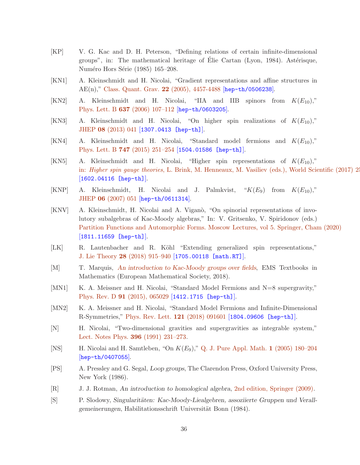- <span id="page-36-13"></span>[KP] V. G. Kac and D. H. Peterson, "Defining relations of certain infinite-dimensional groups", in: The mathematical heritage of Elie Cartan (Lyon, 1984). Astérisque, Numéro Hors Série (1985) 165–208.
- <span id="page-36-0"></span>[KN1] A. Kleinschmidt and H. Nicolai, "Gradient representations and affine structures in AE(n)," [Class. Quant. Grav.](http://dx.doi.org/doi:10.1088/0264-9381/22/21/004) 22 (2005), 4457-4488 [[hep-th/0506238](http://arxiv.org/abs/hep-th/0506238)].
- <span id="page-36-4"></span> $[KN2]$  A. Kleinschmidt and H. Nicolai, "IIA and IIB spinors from  $K(E_{10})$ ." Phys. Lett. B 637 [\(2006\) 107–112](http://dx.doi.org/doi:10.1016/j.physletb.2006.04.007) [[hep-th/0603205](http://arxiv.org/abs/hep-th/0603205)].
- <span id="page-36-5"></span>[KN3] A. Kleinschmidt and H. Nicolai, "On higher spin realizations of  $K(E_{10})$ ," JHEP 08 [\(2013\) 041](http://dx.doi.org/doi:10.1007/JHEP08(2013)041) [[1307.0413 \[hep-th\]](http://arxiv.org/abs/1307.0413)].
- <span id="page-36-10"></span>[KN4] A. Kleinschmidt and H. Nicolai, "Standard model fermions and  $K(E_{10})$ ," Phys. Lett. B 747 [\(2015\) 251–254](http://dx.doi.org/doi:10.1016/j.physletb.2015.06.005) [[1504.01586 \[hep-th\]](http://arxiv.org/abs/1504.01586)].
- <span id="page-36-6"></span>[KN5] A. Kleinschmidt and H. Nicolai, "Higher spin representations of  $K(E_{10})$ ," in: Higher spin gauge theories[, L. Brink, M. Henneaux, M. Vasiliev \(eds.\), World Scientific](http://dx.doi.org/doi:10.1142/9789813144101_0003) (2017) 2-[[1602.04116 \[hep-th\]](http://arxiv.org/abs/1602.04116)].
- <span id="page-36-15"></span>[KNP] A. Kleinschmidt, H. Nicolai and J. Palmkvist, " $K(E_9)$  from  $K(E_{10})$ "," JHEP 06 [\(2007\) 051](http://dx.doi.org/doi:10.1088/1126-6708/2007/06/051) [[hep-th/0611314](http://arxiv.org/abs/hep-th/0611314)].
- <span id="page-36-7"></span>[KNV] A. Kleinschmidt, H. Nicolai and A. Vigan`o, "On spinorial representations of involutory subalgebras of Kac-Moody algebras," In: V. Gritsenko, V. Spiridonov (eds.) [Partition Functions and Automorphic Forms. Moscow Lectures, vol 5. Springer, Cham \(2020\)](http://dx.doi.org/https://doi.org/10.1007/978-3-030-42400-8_4) [[1811.11659 \[hep-th\]](http://arxiv.org/abs/1811.11659)].
- <span id="page-36-8"></span>[LK] R. Lautenbacher and R. Köhl "Extending generalized spin representations," J. Lie Theory 28 [\(2018\) 915–940](http://dx.doi.org/https://www.heldermann.de/JLT/JLT28/JLT284/jlt28045.htm) [[1705.00118 \[math.RT\]](http://arxiv.org/abs/1705.00118)].
- <span id="page-36-14"></span>[M] T. Marquis, *[An introduction to Kac-Moody groups over fields](http://dx.doi.org/10.4171/187)*, EMS Textbooks in Mathematics (European Mathematical Society, 2018).
- <span id="page-36-9"></span>[MN1] K. A. Meissner and H. Nicolai, "Standard Model Fermions and N=8 supergravity," Phys. Rev. D 91 [\(2015\), 065029](http://dx.doi.org/doi:10.1103/PhysRevD.91.065029) [[1412.1715 \[hep-th\]](http://arxiv.org/abs/1412.1715)].
- <span id="page-36-11"></span>[MN2] K. A. Meissner and H. Nicolai, "Standard Model Fermions and Infinite-Dimensional R-Symmetries," [Phys. Rev. Lett.](http://dx.doi.org/doi:10.1103/PhysRevLett.121.091601) 121 (2018) 091601 [[1804.09606 \[hep-th\]](http://arxiv.org/abs/1804.09606)].
- <span id="page-36-2"></span>[N] H. Nicolai, "Two-dimensional gravities and supergravities as integrable system," [Lect. Notes Phys.](http://dx.doi.org/doi:10.1007/3-540-54978-1_12) 396 (1991) 231–273.
- <span id="page-36-3"></span>[NS] H. Nicolai and H. Samtleben, "On  $K(E_9)$ ," [Q. J. Pure Appl. Math.](http://dx.doi.org/doi:10.4310/PAMQ.2005.v1.n1.a8) 1 (2005) 180–204 [[hep-th/0407055](http://arxiv.org/abs/hep-th/0407055)].
- <span id="page-36-12"></span>[PS] A. Pressley and G. Segal, *Loop groups*, The Clarendon Press, Oxford University Press, New York (1986).
- <span id="page-36-16"></span>[R] J. J. Rotman, *An introduction to homological algebra*, [2nd edition, Springer \(2009\).](http://dx.doi.org/https://doi.org/10.1007/b98977)
- <span id="page-36-1"></span>[S] P. Slodowy, *Singularitäten: Kac-Moody-Liealgebren, assoziierte Gruppen und Verallgemeinerungen*, Habilitationsschrift Universität Bonn (1984).